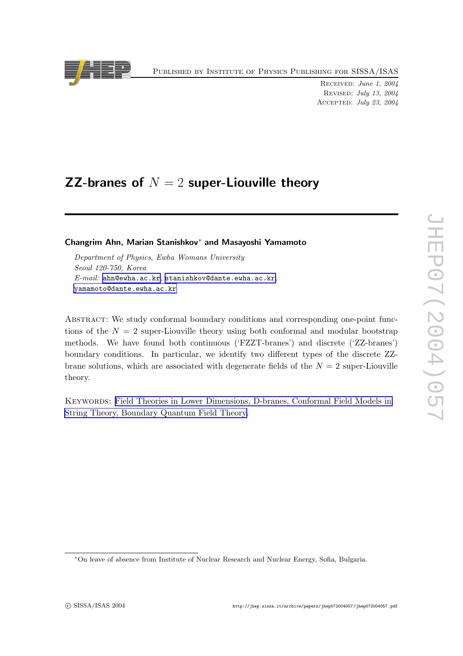Published by Institute of Physics Publishing for SISSA/ISAS



Received: June 1, 2004 Revised: July 13, 2004 Accepted: July 23, 2004

# ZZ-branes of  $N=2$  super-Liouville theory

Changrim Ahn, Marian Stanishkov <sup>∗</sup> and Masa yoshi Yamamoto

Department of Physics, Ewha Womans University Seoul 120-750, Kore a  $E\text{-}mail:$  [ahn@ewha.ac.kr](mailto:ahn@ewha.ac.kr), [stanishkov@dante.ewha.ac.kr](mailto:stanishkov@dante.ewha.ac.kr), [yamamoto@dante.ewha.ac.kr](mailto:yamamoto@dante.ewha.ac.kr)

ABSTRACT: We study conformal boundary conditions and corresponding one-point functions of the  $N = 2$  super-Liouville theory using both conformal and modular bootstrap methods. We hav e found both continuous ('FZZT-branes') and discrete ('ZZ-branes') boundary conditions. In particular, w e identify t w o differen t types of the discrete ZZbrane solutions, which are associated with degenerate fields of the  $N = 2$  super-Liouville theory .

KEYWORDS: Field Theories in Lower [Dimensions,](http://jhep.sissa.it/stdsearch?keywords=Field_Theories_in_Lower_Dimensions+D-branes+Conformal_Field_Models_in_String_Theory+Boundary_Quantum_Field_Theory) D-branes, Conformal Field Models in String Theory , [Boundary](http://jhep.sissa.it/stdsearch?keywords=Field_Theories_in_Lower_Dimensions+D-branes+Conformal_Field_Models_in_String_Theory+Boundary_Quantum_Field_Theory) Quantum Field Theory .

<sup>∗</sup>On leav e of absence from Institute of Nuclear Researc h and Nuclear Energy , Sofia, Bulgaria.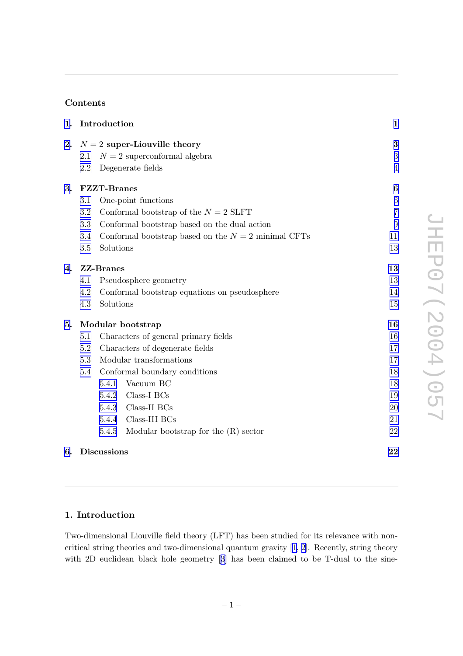# Contents

| 1. |                              | Introduction                                          |                                              |                |
|----|------------------------------|-------------------------------------------------------|----------------------------------------------|----------------|
| 2. | $N=2$ super-Liouville theory |                                                       |                                              | 3              |
|    | 2.1                          |                                                       | $N=2$ superconformal algebra                 | 3              |
|    | 2.2                          |                                                       | Degenerate fields                            | $\overline{4}$ |
| 3. | <b>FZZT-Branes</b>           |                                                       |                                              | 6              |
|    | One-point functions<br>3.1   |                                                       | $\overline{6}$                               |                |
|    | 3.2                          |                                                       | Conformal bootstrap of the $N = 2$ SLFT      | $\overline{7}$ |
|    | 3.3                          |                                                       | Conformal bootstrap based on the dual action | 9              |
|    | 3.4                          | Conformal bootstrap based on the $N = 2$ minimal CFTs |                                              | 11             |
|    | 3.5                          | Solutions                                             |                                              | 13             |
| 4. | <b>ZZ-Branes</b>             |                                                       |                                              | 13             |
|    | 4.1                          | Pseudosphere geometry                                 |                                              | 13             |
|    | 4.2                          | Conformal bootstrap equations on pseudosphere         |                                              | 14             |
|    | 4.3                          | Solutions                                             |                                              | 15             |
| 5. | Modular bootstrap            |                                                       |                                              | 16             |
|    | 5.1                          | Characters of general primary fields                  |                                              | 16             |
|    | 5.2                          | Characters of degenerate fields                       |                                              | 17             |
|    | 5.3                          | Modular transformations                               |                                              | 17             |
|    | 5.4                          | Conformal boundary conditions                         |                                              | 18             |
|    |                              | 5.4.1                                                 | Vacuum BC                                    | 18             |
|    |                              | 5.4.2                                                 | Class-I BCs                                  | 19             |
|    |                              | 5.4.3                                                 | Class-II BCs                                 | 20             |
|    |                              | 5.4.4                                                 | Class-III BCs                                | 21             |
|    |                              | 5.4.5                                                 | Modular bootstrap for the $(R)$ sector       | 22             |
| 6. | <b>Discussions</b>           |                                                       |                                              | 22             |

## 1. Introduction

Two-dimensional Liouville field theory (LFT) has been studied for its relevance with noncritical string theories and two-dimensional quantum gravity [[1,](#page-23-0) [2\]](#page-23-0). Recently, string theory with 2D euclidean black hole geometry [[3](#page-23-0)] has been claimed to be T-dual to the sine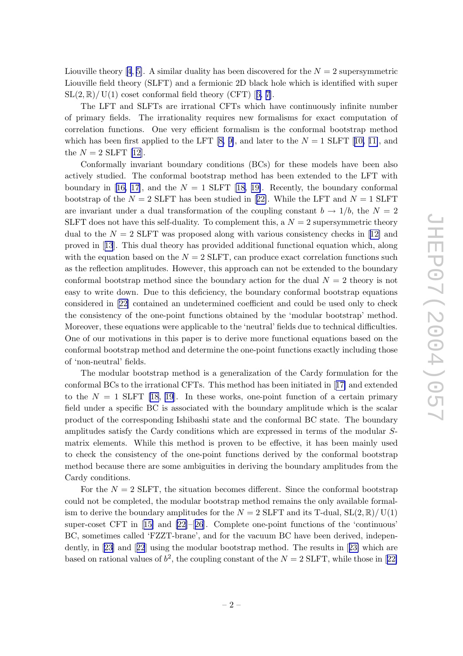Liouville theory [[4](#page-23-0), [5\]](#page-23-0). A similar duality has been discovered for the  $N=2$  supersymmetric Liouville field theory (SLFT) and a fermionic 2D blac k hole whic h is identified with super  $SL(2,\mathbb{R})/$  U(1) coset conformal field theory (CFT) [[6](#page-23-0), [7\]](#page-23-0).

The LFT and SLFTs are irrational CFTs whic h hav e continuously infinite num ber of primary fields. The irrationalit y requires new formalisms for exact computation of correlation functions. One very efficien t formalism is the conformal b ootstrap metho d which has been first applied to the LFT  $[8, 9]$  $[8, 9]$  $[8, 9]$  $[8, 9]$ , and later to the  $N = 1$  SLFT  $[10, 11]$  $[10, 11]$  $[10, 11]$  $[10, 11]$ , and the  $N=2$  SLFT [\[12](#page-23-0)].

Conformally in varian t boundary conditions (BCs) for these models hav e been also actively studied. The conformal b ootstrap metho d has been extended to the LFT with boundary in [[16](#page-23-0), [17](#page-23-0)], and the  $N = 1$  SLFT [[18](#page-23-0), [19\]](#page-24-0). Recently, the boundary conformal bootstrap of the  $N = 2$  SLFT has been studied in [[22\]](#page-24-0). While the LFT and  $N = 1$  SLFT are invariant under a dual transformation of the coupling constant  $b \to 1/b$ , the  $N = 2$ SLFT does not have this self-duality. To complement this, a  $N=2$  supersymmetric theory dual to the  $N = 2$  SLFT was proposed along with various consistency checks in [[12](#page-23-0)] and pro ved in [[13](#page-23-0)]. This dual theory has provided additional functional equation which, along with the equation based on the  $N = 2$  SLFT, can produce exact correlation functions such as the reflection amplitudes. Ho wever, this approac h can not b e extended to the boundary conformal bootstrap method since the boundary action for the dual  $N = 2$  theory is not easy to write down. Due to this deficiency, the boundary conformal bootstrap equations considered in [[22](#page-24-0) ] contained an undetermined coefficien t and could b e used only to chec k the consistency of the one-point functions obtained by the 'modular bootstrap' method. Moreo ver, these equations were applicable to the 'neutral' fields due to technical difficulties. One of our motivations in this paper is to deriv e more functional equations based on the conformal b ootstrap metho d and determine the one-poin t functions exactly including those of 'non-neutral' fields.

The modular bootstrap method is a generalization of the Cardy formulation for the conformal BCs to the irrational CFTs. This metho d has been initiated in [[17](#page-23-0) ] and extended to the  $N = 1$  SLFT [\[18](#page-23-0), [19](#page-24-0)]. In these works, one-point function of a certain primary field under a specific BC is associated with the boundary amplitude whic h is the scalar product of the corresponding Ishibashi state and the conformal BC state. The boundary amplitudes satisfy the Cardy conditions which are expressed in terms of the modular Smatrix elements. While this metho d is pro ven to b e effective, it has been mainly used to check the consistency of the one-point functions derived by the conformal bootstrap metho d because there are some ambiguities in deriving the boundary amplitudes from the Cardy conditions.

For the  $N = 2$  SLFT, the situation becomes different. Since the conformal bootstrap could not b e completed, the modular b ootstrap metho d remains the only available formalism to derive the boundary amplitudes for the  $N = 2$  SLFT and its T-dual,  $SL(2,\mathbb{R})/ U(1)$ super-coset CFT in [[15](#page-23-0) ] and [[22\]](#page-24-0)–[[26](#page-24-0)]. Complete one-poin t functions of the 'continuous' BC, sometimes called 'FZZT-brane', and for the vacuum BC hav e been derived, independently, in [\[23\]](#page-24-0) and [[22](#page-24-0)] using the modular bootstrap method. The results in [[23\]](#page-24-0) which are based on rational values of  $b^2$ , the coupling constant of the  $N = 2$  SLFT, while those in [[22](#page-24-0)]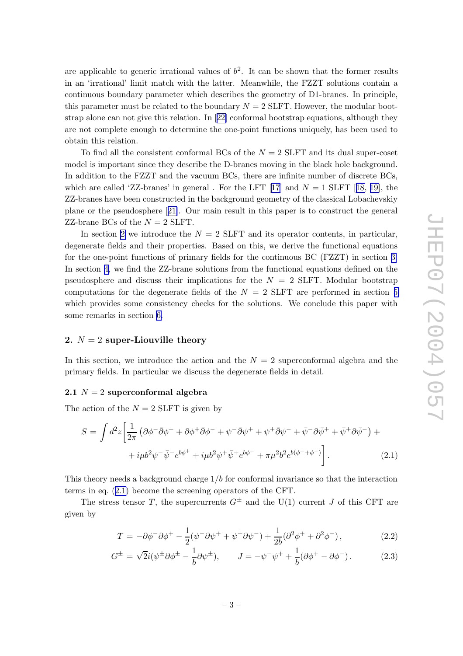<span id="page-3-0"></span>are applicable to generic irrational values of  $b^2$ . It can be shown that the former results in an 'irrational' limit matc h with the latter. Meanwhile, the FZZT solutions contain a continuous boundary parameter whic h describes the geometry of D1-branes. In principle, this parameter must be related to the boundary  $N = 2$  SLFT. However, the modular bootstrap alone can not give this relation. In [[22\]](#page-24-0) conformal bootstrap equations, although they are not complete enough to determine the one-poin t functions uniquely , has been used to obtain this relation.

To find all the consistent conformal BCs of the  $N = 2$  SLFT and its dual super-coset model is important since they describe the D-branes moving in the black hole background. In addition to the FZZT and the vacuum BCs, there are infinite num ber of discrete BCs, which are called 'ZZ-branes' in general. For the LFT  $[17]$  $[17]$  $[17]$  and  $N = 1$  SLFT  $[18, 19]$  $[18, 19]$  $[18, 19]$  $[18, 19]$ , the ZZ-branes hav e been constructed in the background geometry of the classical Lobachevskiy plane or the pseudosphere [[21\]](#page-24-0). Our main result in this paper is to construct the general ZZ-brane BCs of the  $N = 2$  SLFT.

In section 2 we introduce the  $N = 2$  SLFT and its operator contents, in particular, degenerate fields and their properties. Based on this, we derive the functional equations for the one-point functions of primary fields for the continuous BC (FZZT) in section [3](#page-6-0). In section [4](#page-13-0) , w e find the ZZ-brane solutions from the functional equations defined on the pseudosphere and discuss their implications for the  $N = 2$  SLFT. Modular bootstrap computations for the degenerate fields of the  $N = 2$  SLFT are performed in section [5](#page-16-0) which provides some consistency checks for the solutions. We conclude this paper with some remarks in section [6](#page-22-0) .

### 2.  $N = 2$  super-Liouville theory

In this section, we introduce the action and the  $N=2$  superconformal algebra and the primary fields. In particular w e discuss the degenerate fields in detail.

#### $2.1\,$   $N=2$  superconformal algebra

The action of the  $N = 2$  SLFT is given by

$$
S = \int d^2z \left[ \frac{1}{2\pi} \left( \partial \phi^- \bar{\partial} \phi^+ + \partial \phi^+ \bar{\partial} \phi^- + \psi^- \bar{\partial} \psi^+ + \psi^+ \bar{\partial} \psi^- + \bar{\psi}^- \partial \bar{\psi}^+ + \bar{\psi}^+ \partial \bar{\psi}^- \right) + \right. \\
\left. + i\mu b^2 \psi^- \bar{\psi}^- e^{b\phi^+} + i\mu b^2 \psi^+ \bar{\psi}^+ e^{b\phi^-} + \pi \mu^2 b^2 e^{b(\phi^+ + \phi^-)} \right].\n\tag{2.1}
$$

This theory needs a background charge 1/b for conformal in variance so that the interaction terms in eq. (2.1 ) become the screening operators of the CFT.

The stress tensor T, the supercurrents  $G^{\pm}$  and the U(1) current J of this CFT are given b y

$$
T = -\partial\phi^-\partial\phi^+ - \frac{1}{2}(\psi^-\partial\psi^+ + \psi^+\partial\psi^-) + \frac{1}{2b}(\partial^2\phi^+ + \partial^2\phi^-),\tag{2.2}
$$

$$
G^{\pm} = \sqrt{2}i(\psi^{\pm}\partial\phi^{\pm} - \frac{1}{b}\partial\psi^{\pm}), \qquad J = -\psi^{-}\psi^{+} + \frac{1}{b}(\partial\phi^{+} - \partial\phi^{-}). \tag{2.3}
$$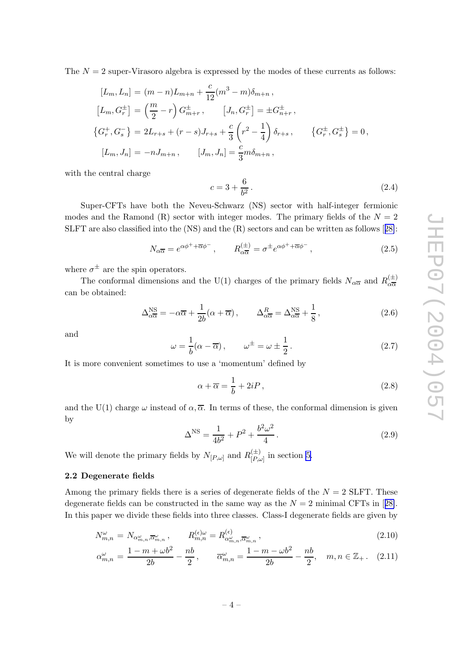<span id="page-4-0"></span>The  $N=2$  super-Virasoro algebra is expressed by the modes of these currents as follows:

$$
[L_m, L_n] = (m - n)L_{m+n} + \frac{c}{12}(m^3 - m)\delta_{m+n},
$$
  
\n
$$
[L_m, G_r^{\pm}] = \left(\frac{m}{2} - r\right)G_{m+r}^{\pm}, \qquad [J_n, G_r^{\pm}] = \pm G_{n+r}^{\pm},
$$
  
\n
$$
\{G_r^+, G_s^-\} = 2L_{r+s} + (r - s)J_{r+s} + \frac{c}{3}\left(r^2 - \frac{1}{4}\right)\delta_{r+s}, \qquad \{G_r^{\pm}, G_s^{\pm}\} = 0,
$$
  
\n
$$
[L_m, J_n] = -nJ_{m+n}, \qquad [J_m, J_n] = \frac{c}{3}m\delta_{m+n},
$$

with the central charge

$$
c = 3 + \frac{6}{b^2} \,. \tag{2.4}
$$

Super-CFTs hav e both the Neveu-Sc h warz (NS) sector with half-integer fermionic modes and the Ramond  $(R)$  sector with integer modes. The primary fields of the  $N=2$ SLFT are also classified into the (NS) and the (R) sectors and can b e written as follows [[28\]](#page-24-0):

$$
N_{\alpha\overline{\alpha}} = e^{\alpha\phi^+ + \overline{\alpha}\phi^-} , \qquad R_{\alpha\overline{\alpha}}^{(\pm)} = \sigma^{\pm} e^{\alpha\phi^+ + \overline{\alpha}\phi^-} , \qquad (2.5)
$$

where  $\sigma^{\pm}$  are the spin operators.

The conformal dimensions and the U(1) charges of the primary fields  $N_{\alpha\overline{\alpha}}$  and  $R_{\alpha\overline{\alpha}}^{(\pm)}$ α α can b e obtained:

$$
\Delta_{\alpha\overline{\alpha}}^{\overline{\text{NS}}} = -\alpha\overline{\alpha} + \frac{1}{2b}(\alpha + \overline{\alpha}), \qquad \Delta_{\alpha\overline{\alpha}}^R = \Delta_{\alpha\overline{\alpha}}^{\overline{\text{NS}}} + \frac{1}{8}, \tag{2.6}
$$

and

$$
\omega = \frac{1}{b}(\alpha - \overline{\alpha}), \qquad \omega^{\pm} = \omega \pm \frac{1}{2}.
$$
 (2.7)

It is more convenient sometimes to use a 'momentum' defined by

$$
\alpha + \overline{\alpha} = \frac{1}{b} + 2iP, \qquad (2.8)
$$

and the U(1) charge  $\omega$  instead of  $\alpha, \overline{\alpha}$ . In terms of these, the conformal dimension is given b y

$$
\Delta^{\rm NS} = \frac{1}{4b^2} + P^2 + \frac{b^2 \omega^2}{4}.
$$
\n(2.9)

We will denote the primary fields by  $N_{[P,\omega]}$  and  $R_{[P,\omega]}^{(\pm)}$  $\prod_{[P,\omega]}^{(\pm)}$  in section [5](#page-16-0).

#### 2.2 Degenerate fields

Among the primary fields there is a series of degenerate fields of the  $N = 2$  SLFT. These degenerate fields can be constructed in the same way as the  $N = 2$  minimal CFTs in [[28\]](#page-24-0). In this paper we divide these fields into three classes. Class-I degenerate fields are given by

$$
N_{m,n}^{\omega} = N_{\alpha_{m,n}^{\omega}, \overline{\alpha}_{m,n}^{\omega}}, \qquad R_{m,n}^{(\epsilon)\omega} = R_{\alpha_{m,n}^{\omega}, \overline{\alpha}_{m,n}^{\omega}}^{(\epsilon)}, \qquad (2.10)
$$

$$
\alpha_{m,n}^{\omega} = \frac{1 - m + \omega b^2}{2b} - \frac{nb}{2}, \qquad \overline{\alpha}_{m,n}^{\omega} = \frac{1 - m - \omega b^2}{2b} - \frac{nb}{2}, \quad m, n \in \mathbb{Z}_+ \,.
$$
 (2.11)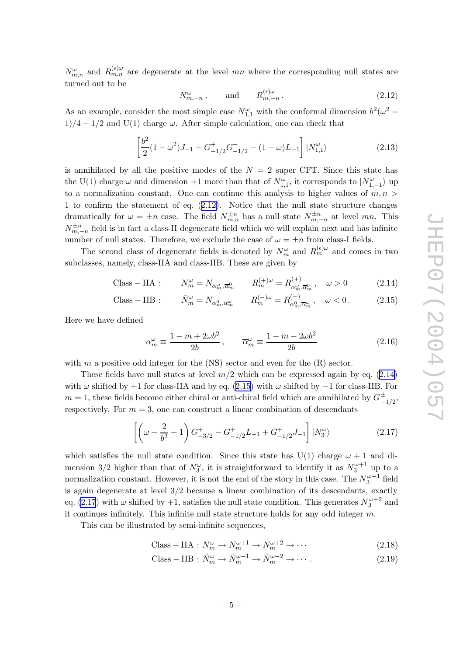<span id="page-5-0"></span> $N_{m,n}^{\omega}$  and  $R_{m,n}^{(\epsilon)\omega}$  are degenerate at the level mn where the corresponding null states are turned out to b e

$$
N_{m,-n}^{\omega}, \quad \text{and} \quad R_{m,-n}^{(\epsilon)\omega}.
$$
 (2.12)

As an example, consider the most simple case  $N_{1,1}^{\omega}$  with the conformal dimension  $b^2(\omega^2 1/4 - 1/2$  and U(1) charge  $\omega$ . After simple calculation, one can check that

$$
\left[\frac{b^2}{2}(1-\omega^2)J_{-1} + G_{-1/2}^+ G_{-1/2}^- - (1-\omega)L_{-1}\right]|N_{1,1}^{\omega}\rangle\tag{2.13}
$$

is annihilated by all the positive modes of the  $N = 2$  super CFT. Since this state has the U(1) charge  $\omega$  and dimension +1 more than that of  $N_{1,1}^{\omega}$ , it corresponds to  $|N_{1,-1}^{\omega}\rangle$  up to a normalization constant. One can continue this analysis to higher values of  $m, n >$ 1 to confirm the statement of eq.  $(2.12)$ . Notice that the null state structure changes dramatically for  $\omega = \pm n$  case. The field  $N_{m,n}^{\pm n}$  has a null state  $N_{m,-n}^{\pm n}$  at level mn. This  $N_{m,-n}^{\pm n}$  field is in fact a class-II degenerate field which we will explain next and has infinite number of null states. Therefore, we exclude the case of  $\omega = \pm n$  from class-I fields.

The second class of degenerate fields is denoted by  $N_m^{\omega}$  and  $R_m^{(\epsilon)\omega}$  and comes in two subclasses, namely, class-IIA and class-IIB. These are given by

Class – IIA : 
$$
N_m^{\omega} = N_{\alpha_m^{\omega}, \overline{\alpha}_m^0}
$$
  $R_m^{(+)\omega} = R_{\alpha_m^{\omega}, \overline{\alpha}_m^0}^{(+)}, \quad \omega > 0$  (2.14)

Class – IIB : 
$$
\tilde{N}_m^{\omega} = N_{\alpha_m^0, \overline{\alpha}_m^{\omega}}
$$
  $R_m^{(-)\omega} = R_{\alpha_m^0, \overline{\alpha}_m^{\omega}}^{(-)}, \omega < 0.$  (2.15)

Here w e hav e defined

$$
\alpha_m^{\omega} \equiv \frac{1 - m + 2\omega b^2}{2b}, \qquad \overline{\alpha}_m^{\omega} \equiv \frac{1 - m - 2\omega b^2}{2b}
$$
 (2.16)

with  $m$  a positive odd integer for the (NS) sector and even for the  $(R)$  sector.

These fields have null states at level  $m/2$  which can be expressed again by eq.  $(2.14)$ with  $\omega$  shifted by +1 for class-IIA and by eq. (2.15) with  $\omega$  shifted by -1 for class-IIB. For  $m = 1$ , these fields become either chiral or anti-chiral field which are annihilated by  $G^{\pm}_{-1/2}$ , respectively. For  $m=3$ , one can construct a linear combination of descendants

$$
\left[ \left( \omega - \frac{2}{b^2} + 1 \right) G_{-3/2}^+ - G_{-1/2}^+ L_{-1} + G_{-1/2}^+ J_{-1} \right] |N_3^{\omega} \rangle \tag{2.17}
$$

which satisfies the null state condition. Since this state has  $U(1)$  charge  $\omega + 1$  and dimension 3/2 higher than that of  $N_3^{\omega}$ , it is straightforward to identify it as  $N_3^{\omega+1}$  up to a normalization constant. However, it is not the end of the story in this case. The  $N_3^{\omega+1}$  field is again degenerate at level 3 / 2 because a linear combination of its descendants, exactly eq. (2.17) with  $\omega$  shifted by +1, satisfies the null state condition. This generates  $N_3^{\omega+2}$  and it continues infinitely. This infinite null state structure holds for any odd integer m.

This can b e illustrated b y semi-infinite sequences,

$$
\text{Class} - \text{IIA} : N_m^{\omega} \to N_m^{\omega+1} \to N_m^{\omega+2} \to \cdots \tag{2.18}
$$

$$
\text{Class} - \text{IIB}: \tilde{N}_m^{\omega} \to \tilde{N}_m^{\omega - 1} \to \tilde{N}_m^{\omega - 2} \to \cdots. \tag{2.19}
$$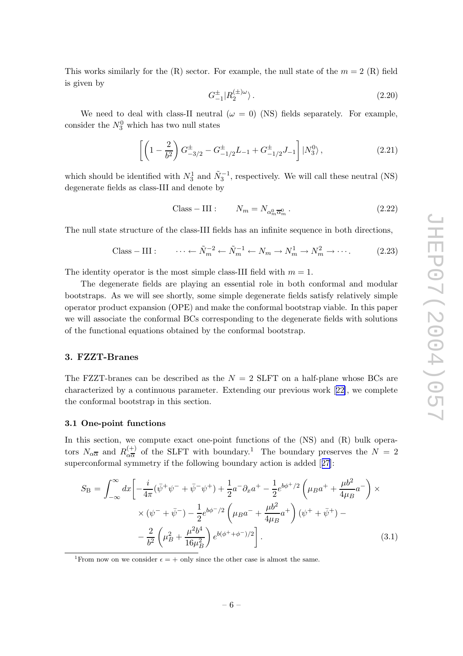<span id="page-6-0"></span>This works similarly for the  $(R)$  sector. For example, the null state of the  $m = 2$   $(R)$  field is given b y

$$
G_{-1}^{\pm}|R_2^{(\pm)\omega}\rangle\,. \tag{2.20}
$$

We need to deal with class-II neutral  $(\omega = 0)$  (NS) fields separately. For example, consider the  $N_3^0$  which has two null states

$$
\left[ \left( 1 - \frac{2}{b^2} \right) G_{-3/2}^{\pm} - G_{-1/2}^{\pm} L_{-1} + G_{-1/2}^{\pm} J_{-1} \right] |N_3^0\rangle, \tag{2.21}
$$

which should be identified with  $N_3^1$  and  $\tilde{N}_3^{-1}$ , respectively. We will call these neutral (NS) degenerate fields as class-III and denote by

$$
Class - III: \t N_m = N_{\alpha_m^0 \overline{\alpha}_m^0}.
$$
\t(2.22)

The null state structure of the class-I I I fields has an infinite sequence in both directions,

Class – III : 
$$
\cdots \leftarrow \tilde{N}_m^{-2} \leftarrow \tilde{N}_m^{-1} \leftarrow N_m \rightarrow N_m^1 \rightarrow N_m^2 \rightarrow \cdots
$$
 (2.23)

The identity operator is the most simple class-III field with  $m = 1$ .

The degenerate fields are playing an essential role in both conformal and modular b ootstraps. As w e will see shortly , some simple degenerate fields satisfy relatively simple operator product expansion (OPE) and mak e the conformal b ootstrap viable. In this paper w e will associate the conformal BCs corresponding to the degenerate fields with solutions of the functional equations obtained b y the conformal b ootstrap.

#### 3. FZZT-Branes

The FZZT-branes can be described as the  $N = 2$  SLFT on a half-plane whose BCs are characterized b y a continuous parameter. Extending our previous work [[22\]](#page-24-0), w e complete the conformal b ootstrap in this section.

#### 3.1 One-poin t functions

In this section, we compute exact one-point functions of the  $(NS)$  and  $(R)$  bulk operators  $N_{\alpha\overline{\alpha}}$  and  $R_{\alpha\overline{\alpha}}^{(+)}$  $\frac{d+1}{d\alpha}$  of the SLFT with boundary.<sup>1</sup> The boundary preserves the  $N = 2$ superconformal symmetry if the following boundary action is added [[27\]](#page-24-0):

$$
S_{\rm B} = \int_{-\infty}^{\infty} dx \left[ -\frac{i}{4\pi} (\bar{\psi}^+ \psi^- + \bar{\psi}^- \psi^+) + \frac{1}{2} a^- \partial_x a^+ - \frac{1}{2} e^{b\phi^+/2} \left( \mu_B a^+ + \frac{\mu b^2}{4\mu_B} a^- \right) \times \right. \\ \times (\psi^- + \bar{\psi}^-) - \frac{1}{2} e^{b\phi^-/2} \left( \mu_B a^- + \frac{\mu b^2}{4\mu_B} a^+ \right) (\psi^+ + \bar{\psi}^+) - \\ - \frac{2}{b^2} \left( \mu_B^2 + \frac{\mu^2 b^4}{16\mu_B^2} \right) e^{b(\phi^+ + \phi^-)/2} \right]. \tag{3.1}
$$

<sup>1</sup>From now on we consider  $\epsilon = +$  only since the other case is almost the same.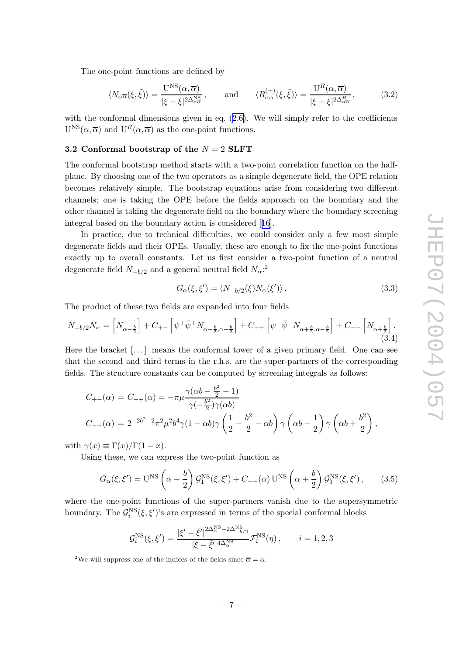<span id="page-7-0"></span>The one-poin t functions are defined b y

$$
\langle N_{\alpha\overline{\alpha}}(\xi,\bar{\xi})\rangle = \frac{\mathcal{U}^{\mathcal{NS}}(\alpha,\overline{\alpha})}{|\xi-\bar{\xi}|^{2\Delta_{\alpha\overline{\alpha}}^{\mathcal{NS}}}}, \quad \text{and} \quad \langle R_{\alpha\overline{\alpha}}^{(+)}(\xi,\bar{\xi})\rangle = \frac{\mathcal{U}^{R}(\alpha,\overline{\alpha})}{|\xi-\bar{\xi}|^{2\Delta_{\alpha\overline{\alpha}}^{\mathcal{R}}}}, \quad (3.2)
$$

with the conformal dimensions given in eq.  $(2.6)$  $(2.6)$ . We will simply refer to the coefficients  $U^{NS}(\alpha, \overline{\alpha})$  and  $U^{R}(\alpha, \overline{\alpha})$  as the one-point functions.

#### $\bf 3.2 \ \textbf{Conformal} \ \textbf{bootstrap of the} \ \textcolor{red}{N=2} \ \textbf{SLFT}$

The conformal bootstrap method starts with a two-point correlation function on the halfplane. By choosing one of the two operators as a simple degenerate field, the OPE relation becomes relatively simple. The bootstrap equations arise from considering two different channels; one is taking the OPE before the fields approach on the boundary and the other channel is taking the degenerate field on the boundary where the boundary screening integral based on the boundary action is considered [[16](#page-23-0)].

In practice, due to technical difficulties, w e could consider only a few most simple degenerate fields and their OPEs. Usually , these are enough to fix the one-poin t functions exactly up to overall constants. Let us first consider a two-point function of a neutral degenerate field  $N_{-b/2}$  and a general neutral field  $N_{\alpha}$ <sup>2</sup>

$$
G_{\alpha}(\xi, \xi') = \langle N_{-b/2}(\xi) N_{\alpha}(\xi') \rangle.
$$
 (3.3)

The product of these t w o fields are expanded into four fields

$$
N_{-b/2}N_{\alpha} = \left[N_{\alpha-\frac{b}{2}}\right] + C_{+-}\left[\psi^+ \bar{\psi}^+ N_{\alpha-\frac{b}{2}, \alpha+\frac{b}{2}}\right] + C_{-+}\left[\psi^- \bar{\psi}^- N_{\alpha+\frac{b}{2}, \alpha-\frac{b}{2}}\right] + C_{--}\left[N_{\alpha+\frac{b}{2}}\right].
$$
\n(3.4)

Here the bracket [...] means the conformal tower of a given primary field. One can see that the second and third terms in the r.h.s. are the super-partners of the corresponding fields. The structure constants can b e computed b y screening integrals as follows:

$$
C_{+-}(\alpha) = C_{-+}(\alpha) = -\pi \mu \frac{\gamma(\alpha b - \frac{b^2}{2} - 1)}{\gamma(-\frac{b^2}{2})\gamma(\alpha b)}
$$
  
\n
$$
C_{--}(\alpha) = 2^{-2b^2 - 2}\pi^2 \mu^2 b^4 \gamma (1 - \alpha b) \gamma \left(\frac{1}{2} - \frac{b^2}{2} - \alpha b\right) \gamma \left(\alpha b - \frac{1}{2}\right) \gamma \left(\alpha b + \frac{b^2}{2}\right),
$$

with  $\gamma(x) \equiv \Gamma(x)/\Gamma(1-x)$ .

Using these, w e can express the t wo-poin t function as

$$
G_{\alpha}(\xi, \xi') = U^{\rm NS} \left( \alpha - \frac{b}{2} \right) \mathcal{G}_1^{\rm NS}(\xi, \xi') + C_{--}(\alpha) U^{\rm NS} \left( \alpha + \frac{b}{2} \right) \mathcal{G}_3^{\rm NS}(\xi, \xi'), \qquad (3.5)
$$

where the one-poin t functions of the super-partners vanish due to the supersymmetric boundary. The  $\mathcal{G}_i^{\text{NS}}(\xi, \xi')$ 's are expressed in terms of the special conformal blocks

$$
\mathcal{G}_i^{\text{NS}}(\xi,\xi') = \frac{|\xi'-\bar{\xi}'|^{2\Delta_{\alpha}^{\text{NS}}-2\Delta_{-b/2}^{\text{NS}}}}{|\xi-\bar{\xi}'|^{4\Delta_{\alpha}^{\text{NS}}}} \mathcal{F}_i^{\text{NS}}(\eta) , \qquad i=1,2,3
$$

<sup>&</sup>lt;sup>2</sup>We will suppress one of the indices of the fields since  $\overline{\alpha} = \alpha$ .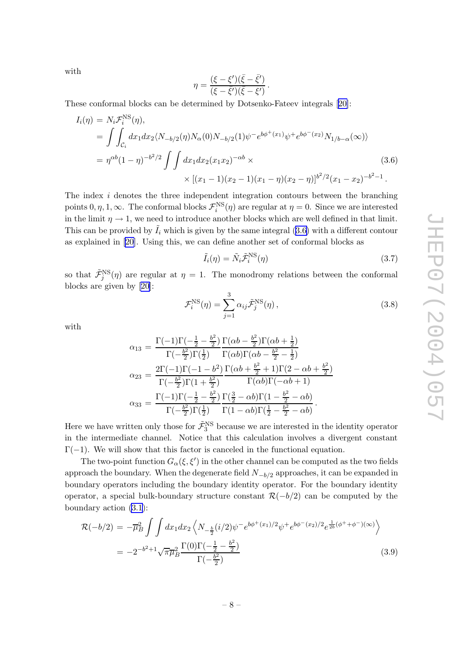with

$$
\eta = \frac{(\xi - \xi')(\bar{\xi} - \bar{\xi'})}{(\xi - \bar{\xi'})(\bar{\xi} - \xi')}
$$

.

These conformal blo cks can b e determined b y Dotsenko-Fateev integrals [[20\]](#page-24-0):

$$
I_i(\eta) = N_i \mathcal{F}_i^{\text{NS}}(\eta),
$$
  
= 
$$
\int \int_{\mathcal{C}_i} dx_1 dx_2 \langle N_{-b/2}(\eta) N_{\alpha}(0) N_{-b/2}(1) \psi^- e^{b\phi^+(x_1)} \psi^+ e^{b\phi^-(x_2)} N_{1/b-\alpha}(\infty) \rangle
$$
  
= 
$$
\eta^{\alpha b} (1-\eta)^{-b^2/2} \int \int dx_1 dx_2 (x_1 x_2)^{-\alpha b} \times \left[ (x_1 - 1)(x_2 - 1)(x_1 - \eta) (x_2 - \eta) \right]^{b^2/2} (x_1 - x_2)^{-b^2 - 1}.
$$
 (3.6)

The index i denotes the three independent integration contours between the branching points  $0, \eta, 1, \infty$ . The conformal blocks  $\mathcal{F}_i^{\text{NS}}(\eta)$  are regular at  $\eta = 0$ . Since we are interested in the limit  $\eta \to 1$ , we need to introduce another blocks which are well defined in that limit. This can be provided by  $\tilde{I}_i$  which is given by the same integral (3.6) with a different contour as explained in [\[20](#page-24-0)]. Using this, w e can define another set of conformal blo cks as

$$
\tilde{I}_i(\eta) = \tilde{N}_i \tilde{\mathcal{F}}_i^{\text{NS}}(\eta) \tag{3.7}
$$

so that  $\tilde{\mathcal{F}}_j^{\text{NS}}(\eta)$  are regular at  $\eta = 1$ . The monodromy relations between the conformal blo cks are given b y [\[20](#page-24-0)]:

$$
\mathcal{F}_i^{\text{NS}}(\eta) = \sum_{j=1}^3 \alpha_{ij} \tilde{\mathcal{F}}_j^{\text{NS}}(\eta) ,\qquad (3.8)
$$

with

$$
\alpha_{13} = \frac{\Gamma(-1)\Gamma(-\frac{1}{2} - \frac{b^2}{2})\Gamma(\alpha b - \frac{b^2}{2})\Gamma(\alpha b + \frac{1}{2})}{\Gamma(-\frac{b^2}{2})\Gamma(\frac{1}{2})\Gamma(\alpha b)\Gamma(\alpha b - \frac{b^2}{2} - \frac{1}{2})}
$$
  
\n
$$
\alpha_{23} = \frac{2\Gamma(-1)\Gamma(-1 - b^2)}{\Gamma(-\frac{b^2}{2})\Gamma(1 + \frac{b^2}{2})}\frac{\Gamma(\alpha b + \frac{b^2}{2} + 1)\Gamma(2 - \alpha b + \frac{b^2}{2})}{\Gamma(\alpha b)\Gamma(-\alpha b + 1)}
$$
  
\n
$$
\alpha_{33} = \frac{\Gamma(-1)\Gamma(-\frac{1}{2} - \frac{b^2}{2})\Gamma(\frac{3}{2} - \alpha b)\Gamma(1 - \frac{b^2}{2} - \alpha b)}{\Gamma(-\frac{b^2}{2})\Gamma(\frac{1}{2})\Gamma(\frac{1}{2})}\frac{\Gamma(\frac{3}{2} - \alpha b)\Gamma(\frac{1}{2} - \frac{b^2}{2} - \alpha b)}{\Gamma(-\frac{b^2}{2})\Gamma(\frac{1}{2})\Gamma(1 - \alpha b)\Gamma(\frac{1}{2} - \frac{b^2}{2} - \alpha b)}.
$$

Here we have written only those for  $\tilde{\mathcal{F}}_3^{\text{NS}}$  because we are interested in the identity operator in the intermediate channel. Notice that this calculation in volves a divergen t constan t  $\Gamma(-1)$ . We will show that this factor is canceled in the functional equation.

The two-point function  $G_{\alpha}(\xi, \xi')$  in the other channel can be computed as the two fields approach the boundary. When the degenerate field  $N_{-b/2}$  approaches, it can be expanded in boundary operators including the boundary identity operator. For the boundary identity operator, a special bulk-boundary structure constant  $\mathcal{R}(-b/2)$  can be computed by the boundary action [\(3.1](#page-6-0)):

$$
\mathcal{R}(-b/2) = -\overline{\mu}_B^2 \int \int dx_1 dx_2 \left\langle N_{-\frac{b}{2}}(i/2)\psi^- e^{b\phi^+(x_1)/2} \psi^+ e^{b\phi^-(x_2)/2} e^{\frac{1}{2b}(\phi^++\phi^-)(\infty)} \right\rangle
$$
  
= 
$$
-2^{-b^2+1} \sqrt{\pi} \overline{\mu}_B^2 \frac{\Gamma(0)\Gamma(-\frac{1}{2}-\frac{b^2}{2})}{\Gamma(-\frac{b^2}{2})}
$$
(3.9)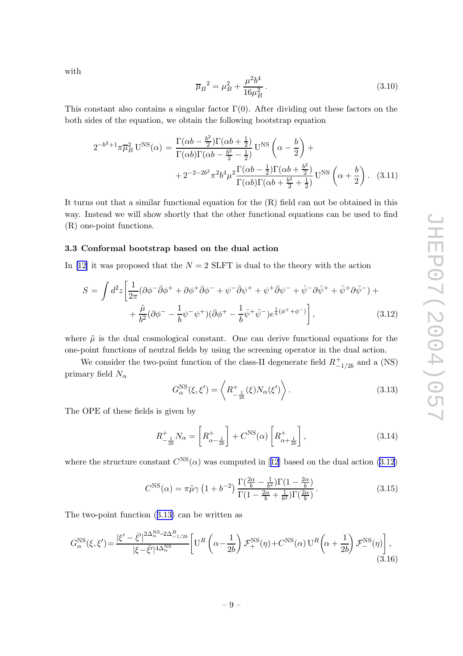<span id="page-9-0"></span>with

$$
\overline{\mu}_B^2 = \mu_B^2 + \frac{\mu^2 b^4}{16\mu_B^2} \,. \tag{3.10}
$$

This constant also contains a singular factor  $\Gamma(0)$ . After dividing out these factors on the both sides of the equation, we obtain the following bootstrap equation

$$
2^{-b^2+1}\pi\overline{\mu}_B^2 U^{NS}(\alpha) = \frac{\Gamma(\alpha b - \frac{b^2}{2})\Gamma(\alpha b + \frac{1}{2})}{\Gamma(\alpha b)\Gamma(\alpha b - \frac{b^2}{2} - \frac{1}{2})} U^{NS} \left(\alpha - \frac{b}{2}\right) +
$$
  
+2^{-2-2b^2}\pi^2 b^4 \mu^2 \frac{\Gamma(\alpha b - \frac{1}{2})\Gamma(\alpha b + \frac{b^2}{2})}{\Gamma(\alpha b)\Gamma(\alpha b + \frac{b^2}{2} + \frac{1}{2})} U^{NS} \left(\alpha + \frac{b}{2}\right). (3.11)

It turns out that a similar functional equation for the  $(R)$  field can not be obtained in this w ay . Instead w e will sho w shortly that the other functional equations can b e used to find (R) one-poin t functions.

#### 3.3 Conformal b ootstrap based on the dual action

In [[12](#page-23-0)] it was proposed that the  $N = 2$  SLFT is dual to the theory with the action

$$
S = \int d^2 z \left[ \frac{1}{2\pi} (\partial \phi^- \bar{\partial} \phi^+ + \partial \phi^+ \bar{\partial} \phi^- + \psi^- \bar{\partial} \psi^+ + \psi^+ \bar{\partial} \psi^- + \bar{\psi}^- \partial \bar{\psi}^+ + \bar{\psi}^+ \partial \bar{\psi}^-) + \right. \\
\left. + \frac{\tilde{\mu}}{b^2} (\partial \phi^- - \frac{1}{b} \psi^- \psi^+) (\bar{\partial} \phi^+ - \frac{1}{b} \bar{\psi}^+ \bar{\psi}^-) e^{\frac{1}{b} (\phi^+ + \phi^-)} \right],
$$
\n(3.12)

where  $\tilde{\mu}$  is the dual cosmological constant. One can derive functional equations for the one-poin t functions of neutral fields b y using the screening operator in the dual action.

We consider the two-point function of the class-II degenerate field  $R_{-}^{+}$  $_{-1/2b}^{+}$  and a (NS) primary field  $N_\alpha$ 

$$
G_{\alpha}^{\rm NS}(\xi, \xi') = \left\langle R_{-\frac{1}{2b}}^{+}(\xi) N_{\alpha}(\xi') \right\rangle. \tag{3.13}
$$

The OPE of these fields is given b y

$$
R_{-\frac{1}{2b}}^{+} N_{\alpha} = \left[ R_{\alpha - \frac{1}{2b}}^{+} \right] + C^{\text{NS}}(\alpha) \left[ R_{\alpha + \frac{1}{2b}}^{+} \right],\tag{3.14}
$$

where the structure constant  $C^{NS}(\alpha)$  was computed in [[12](#page-23-0)] based on the dual action (3.12)

$$
C^{\rm NS}(\alpha) = \pi \tilde{\mu}\gamma \left(1 + b^{-2}\right) \frac{\Gamma\left(\frac{2\alpha}{b} - \frac{1}{b^2}\right) \Gamma\left(1 - \frac{2\alpha}{b}\right)}{\Gamma\left(1 - \frac{2\alpha}{b} + \frac{1}{b^2}\right) \Gamma\left(\frac{2\alpha}{b}\right)}.
$$
\n(3.15)

The t wo-poin t function (3.13 ) can b e written as

$$
G_{\alpha}^{\text{NS}}(\xi,\xi') = \frac{|\xi'-\bar{\xi}'|^{2\Delta_{\alpha}^{\text{NS}}-2\Delta_{-1/2b}^{R}}}{|\xi-\bar{\xi}'|^{4\Delta_{\alpha}^{\text{NS}}}} \left[ \mathbf{U}^{R}\left(\alpha-\frac{1}{2b}\right) \mathcal{F}_{+}^{\text{NS}}(\eta) + C^{\text{NS}}(\alpha) \mathbf{U}^{R}\left(\alpha+\frac{1}{2b}\right) \mathcal{F}_{-}^{\text{NS}}(\eta) \right],\tag{3.16}
$$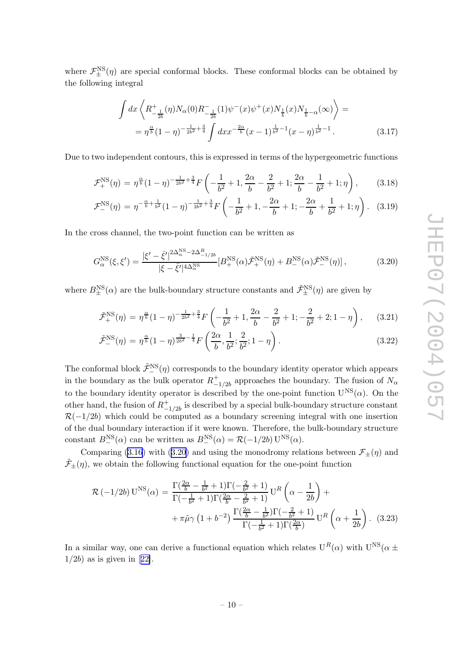<span id="page-10-0"></span>where  $\mathcal{F}_{\pm}^{\text{NS}}(\eta)$  are special conformal blocks. These conformal blocks can be obtained by the following integral

$$
\int dx \left\langle R^+_{-\frac{1}{2b}}(\eta) N_\alpha(0) R^-_{-\frac{1}{2b}}(1) \psi^-(x) \psi^+(x) N_{\frac{1}{b}}(x) N_{\frac{1}{b}-\alpha}(\infty) \right\rangle =
$$
  
=  $\eta^{\frac{\alpha}{b}} (1-\eta)^{-\frac{1}{2b^2} + \frac{3}{4}} \int dx x^{-\frac{2\alpha}{b}} (x-1)^{\frac{1}{b^2} - 1} (x-\eta)^{\frac{1}{b^2} - 1}.$  (3.17)

Due to two independent contours, this is expressed in terms of the hypergeometric functions

$$
\mathcal{F}_{+}^{\text{NS}}(\eta) = \eta^{\frac{\alpha}{b}}(1-\eta)^{-\frac{1}{2b^2}+\frac{3}{4}}F\left(-\frac{1}{b^2}+1,\frac{2\alpha}{b}-\frac{2}{b^2}+1;\frac{2\alpha}{b}-\frac{1}{b^2}+1;\eta\right),\tag{3.18}
$$

$$
\mathcal{F}_{-}^{\text{NS}}(\eta) = \eta^{-\frac{\alpha}{b} + \frac{1}{b^2}} (1 - \eta)^{-\frac{1}{2b^2} + \frac{3}{4}} F\left(-\frac{1}{b^2} + 1, -\frac{2\alpha}{b} + 1; -\frac{2\alpha}{b} + \frac{1}{b^2} + 1; \eta\right). \tag{3.19}
$$

In the cross channel, the t wo-poin t function can b e written as

$$
G_{\alpha}^{\rm NS}(\xi, \xi') = \frac{|\xi' - \bar{\xi}'|^{2\Delta_{\alpha}^{\rm NS} - 2\Delta_{-1/2b}^{R}}}{|\xi - \bar{\xi}'|^{4\Delta_{\alpha}^{\rm NS}}} [B_{+}^{\rm NS}(\alpha)\tilde{\mathcal{F}}_{+}^{\rm NS}(\eta) + B_{-}^{\rm NS}(\alpha)\tilde{\mathcal{F}}_{-}^{\rm NS}(\eta)],
$$
(3.20)

where  $B_{\pm}^{\text{NS}}(\alpha)$  are the bulk-boundary structure constants and  $\tilde{\mathcal{F}}_{\pm}^{\text{NS}}(\eta)$  are given by

$$
\tilde{\mathcal{F}}_{+}^{\text{NS}}(\eta) = \eta^{\frac{\alpha}{b}} (1 - \eta)^{-\frac{1}{2b^2} + \frac{3}{4}} F\left(-\frac{1}{b^2} + 1, \frac{2\alpha}{b} - \frac{2}{b^2} + 1; -\frac{2}{b^2} + 2; 1 - \eta\right), \quad (3.21)
$$

$$
\tilde{\mathcal{F}}_-^{\text{NS}}(\eta) = \eta^{\frac{\alpha}{b}} (1 - \eta)^{\frac{3}{2b^2} - \frac{1}{4}} F\left(\frac{2\alpha}{b}, \frac{1}{b^2}; \frac{2}{b^2}; 1 - \eta\right). \tag{3.22}
$$

The conformal block  $\tilde{\mathcal{F}}_-(\eta)$  corresponds to the boundary identity operator which appears in the boundary as the bulk operator  $R_{-}^{+}$  $^+$ <sub>−1/2b</sub> approaches the boundary. The fusion of N<sub>α</sub> to the boundary identity operator is described by the one-point function  $U^{NS}(\alpha)$ . On the other hand, the fusion of  $R_{-}^{+}$  $^{+}_{-1/2b}$  is described by a special bulk-boundary structure constant  $\mathcal{R}(-1/2b)$  which could be computed as a boundary screening integral with one insertion of the dual boundary interaction if it were known. Therefore, the bulk-boundary structure constant  $B_-^{\text{NS}}(\alpha)$  can be written as  $B_-^{\text{NS}}(\alpha) = \mathcal{R}(-1/2b) \mathbf{U}^{\text{NS}}(\alpha)$ .

Comparing ([3.16](#page-9-0)) with (3.20) and using the monodromy relations between  $\mathcal{F}_{\pm}(\eta)$  and  $\tilde{\mathcal{F}}_{\pm}(\eta)$ , we obtain the following functional equation for the one-point function

$$
\mathcal{R}(-1/2b) \mathbf{U}^{\text{NS}}(\alpha) = \frac{\Gamma(\frac{2\alpha}{b} - \frac{1}{b^2} + 1)\Gamma(-\frac{2}{b^2} + 1)}{\Gamma(-\frac{1}{b^2} + 1)\Gamma(\frac{2\alpha}{b} - \frac{2}{b^2} + 1)} \mathbf{U}^R\left(\alpha - \frac{1}{2b}\right) + \frac{\pi \tilde{\mu} \gamma \left(1 + b^{-2}\right) \frac{\Gamma(\frac{2\alpha}{b} - \frac{1}{b^2})\Gamma(-\frac{2}{b^2} + 1)}{\Gamma(-\frac{1}{b^2} + 1)\Gamma(\frac{2\alpha}{b})} \mathbf{U}^R\left(\alpha + \frac{1}{2b}\right). (3.23)
$$

In a similar way, one can derive a functional equation which relates  $U^R(\alpha)$  with  $U^{NS}(\alpha \pm \alpha)$  $1/2b$ ) as is given in [[22\]](#page-24-0).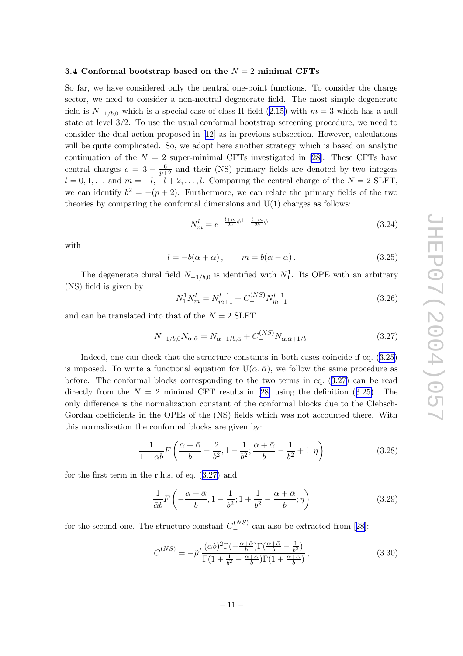#### <span id="page-11-0"></span>3.4 Conformal bootstrap based on the  $N = 2$  minimal CFTs

So far, we have considered only the neutral one-point functions. To consider the charge sector, w e need to consider a non-neutral degenerate field. The most simple degenerate field is  $N_{-1/b,0}$  which is a special case of class-II field [\(2.15](#page-5-0)) with  $m=3$  which has a null state at level 3/2. To use the usual conformal bootstrap screening procedure, we need to consider the dual action proposed in [[12](#page-23-0) ] as in previous subsection. Ho wever, calculations will be quite complicated. So, we adopt here another strategy which is based on analytic continuation of the  $N = 2$  super-minimal CFTs investigated in [[28\]](#page-24-0). These CFTs have central charges  $c = 3 - \frac{6}{p+2}$  and their (NS) primary fields are denoted by two integers  $l = 0, 1, \ldots$  and  $m = -l, -l + 2, \ldots, l$ . Comparing the central charge of the  $N = 2$  SLFT, we can identify  $b^2 = -(p+2)$ . Furthermore, we can relate the primary fields of the two theories b y comparing the conformal dimensions and U(1) charges as follows:

$$
N_m^l = e^{-\frac{l+m}{2b}\phi^+ - \frac{l-m}{2b}\phi^-} \tag{3.24}
$$

with

$$
l = -b(\alpha + \bar{\alpha}), \qquad m = b(\bar{\alpha} - \alpha). \tag{3.25}
$$

The degenerate chiral field  $N_{-1/b,0}$  is identified with  $N_1^1$ . Its OPE with an arbitrary (NS) field is given b y

$$
N_1^1 N_m^l = N_{m+1}^{l+1} + C_-^{(NS)} N_{m+1}^{l-1}
$$
\n(3.26)

and can be translated into that of the  $N = 2$  SLFT

$$
N_{-1/b,0}N_{\alpha,\bar{\alpha}} = N_{\alpha-1/b,\bar{\alpha}} + C_{-}^{(NS)}N_{\alpha,\bar{\alpha}+1/b}.
$$
\n(3.27)

Indeed, one can check that the structure constants in both cases coincide if eq.  $(3.25)$ is imposed. To write a functional equation for  $U(\alpha, \bar{\alpha})$ , we follow the same procedure as before. The conformal blocks corresponding to the two terms in eq.  $(3.27)$  can be read directly from the  $N = 2$  minimal CFT results in [[28](#page-24-0)] using the definition (3.25). The only difference is the normalization constant of the conformal blocks due to the Clebsch-Gordan coefficients in the OPEs of the (NS) fields which was not accounted there. With this normalization the conformal blo cks are given by:

$$
\frac{1}{1-\alpha b}F\left(\frac{\alpha+\bar{\alpha}}{b}-\frac{2}{b^2},1-\frac{1}{b^2};\frac{\alpha+\bar{\alpha}}{b}-\frac{1}{b^2}+1;\eta\right)
$$
(3.28)

for the first term in the r.h.s. of eq. (3.27 ) and

$$
\frac{1}{\bar{\alpha}b}F\left(-\frac{\alpha+\bar{\alpha}}{b}, 1-\frac{1}{b^2}; 1+\frac{1}{b^2}-\frac{\alpha+\bar{\alpha}}{b}; \eta\right) \tag{3.29}
$$

for the second one. The structure constant  $C_{-}^{(NS)}$  can also be extracted from [[28](#page-24-0)]:

$$
C_{-}^{(NS)} = -\tilde{\mu}' \frac{(\bar{\alpha}b)^{2} \Gamma(-\frac{\alpha+\bar{\alpha}}{b}) \Gamma(\frac{\alpha+\bar{\alpha}}{b}-\frac{1}{b^{2}})}{\Gamma(1+\frac{1}{b^{2}}-\frac{\alpha+\bar{\alpha}}{b}) \Gamma(1+\frac{\alpha+\bar{\alpha}}{b})},
$$
\n(3.30)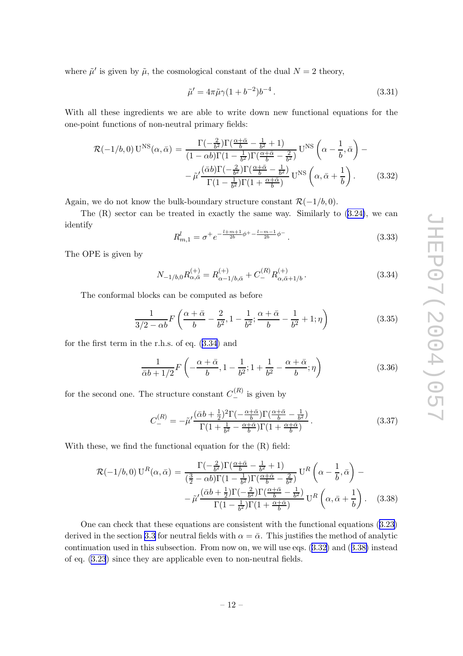<span id="page-12-0"></span>where  $\tilde{\mu}'$  is given by  $\tilde{\mu}$ , the cosmological constant of the dual  $N=2$  theory,

$$
\tilde{\mu}' = 4\pi \tilde{\mu}\gamma (1 + b^{-2})b^{-4}.
$$
\n(3.31)

With all these ingredients w e are able to write down new functional equations for the one-poin t functions of non-neutral primary fields:

$$
\mathcal{R}(-1/b,0) \mathbf{U}^{\rm NS}(\alpha,\bar{\alpha}) = \frac{\Gamma(-\frac{2}{b^2})\Gamma(\frac{\alpha+\bar{\alpha}}{b}-\frac{1}{b^2}+1)}{(1-\alpha b)\Gamma(1-\frac{1}{b^2})\Gamma(\frac{\alpha+\bar{\alpha}}{b}-\frac{2}{b^2})} \mathbf{U}^{\rm NS}\left(\alpha-\frac{1}{b},\bar{\alpha}\right) - \tilde{\mu}'\frac{(\bar{\alpha}b)\Gamma(-\frac{2}{b^2})\Gamma(\frac{\alpha+\bar{\alpha}}{b}-\frac{1}{b^2})}{\Gamma(1-\frac{1}{b^2})\Gamma(1+\frac{\alpha+\bar{\alpha}}{b})} \mathbf{U}^{\rm NS}\left(\alpha,\bar{\alpha}+\frac{1}{b}\right). \tag{3.32}
$$

Again, we do not know the bulk-boundary structure constant  $\mathcal{R}(-1/b, 0)$ .

The (R) sector can be treated in exactly the same way. Similarly to  $(3.24)$  $(3.24)$ , we can identify

$$
R_{m,1}^l = \sigma^+ e^{-\frac{l+m+1}{2b}\phi^+ - \frac{l-m-1}{2b}\phi^-}.
$$
\n(3.33)

The OPE is given b y

$$
N_{-1/b,0}R_{\alpha,\bar{\alpha}}^{(+)} = R_{\alpha-1/b,\bar{\alpha}}^{(+)} + C_{-}^{(R)}R_{\alpha,\bar{\alpha}+1/b}^{(+)}.
$$
 (3.34)

The conformal blocks can be computed as before

$$
\frac{1}{3/2 - \alpha b} F\left(\frac{\alpha + \bar{\alpha}}{b} - \frac{2}{b^2}, 1 - \frac{1}{b^2}; \frac{\alpha + \bar{\alpha}}{b} - \frac{1}{b^2} + 1; \eta\right)
$$
(3.35)

for the first term in the r.h.s. of eq. (3.34 ) and

$$
\frac{1}{\bar{\alpha}b+1/2}F\left(-\frac{\alpha+\bar{\alpha}}{b}, 1-\frac{1}{b^2}; 1+\frac{1}{b^2}-\frac{\alpha+\bar{\alpha}}{b}; \eta\right) \tag{3.36}
$$

for the second one. The structure constant  $C_{-}^{(R)}$  is given by

$$
C_{-}^{(R)} = -\tilde{\mu}' \frac{(\bar{\alpha}b + \frac{1}{2})^2 \Gamma(-\frac{\alpha + \bar{\alpha}}{b}) \Gamma(\frac{\alpha + \bar{\alpha}}{b} - \frac{1}{b^2})}{\Gamma(1 + \frac{1}{b^2} - \frac{\alpha + \bar{\alpha}}{b}) \Gamma(1 + \frac{\alpha + \bar{\alpha}}{b})}.
$$
\n(3.37)

With these, w e find the functional equation for the (R) field:

$$
\mathcal{R}(-1/b,0) U^R(\alpha,\bar{\alpha}) = \frac{\Gamma(-\frac{2}{b^2})\Gamma(\frac{\alpha+\bar{\alpha}}{b}-\frac{1}{b^2}+1)}{(\frac{3}{2}-\alpha b)\Gamma(1-\frac{1}{b^2})\Gamma(\frac{\alpha+\bar{\alpha}}{b}-\frac{2}{b^2})} U^R\left(\alpha-\frac{1}{b},\bar{\alpha}\right) - \frac{\tilde{\alpha}}{b} \left(\frac{\bar{\alpha}b+\frac{1}{2}\Gamma(-\frac{2}{b^2})\Gamma(\frac{\alpha+\bar{\alpha}}{b}-\frac{1}{b^2})}{\Gamma(1-\frac{1}{b^2})\Gamma(1+\frac{\alpha+\bar{\alpha}}{b})} U^R\left(\alpha,\bar{\alpha}+\frac{1}{b}\right). \quad (3.38)
$$

One can chec k that these equations are consisten t with the functional equations ([3.23](#page-10-0) ) derived in the section [3.3](#page-9-0) for neutral fields with  $\alpha = \bar{\alpha}$ . This justifies the method of analytic continuation used in this subsection. From no w on, w e will use eqs. (3.32 ) and (3.38 ) instead of eq. [\(3.23](#page-10-0) ) since they are applicable even to non-neutral fields.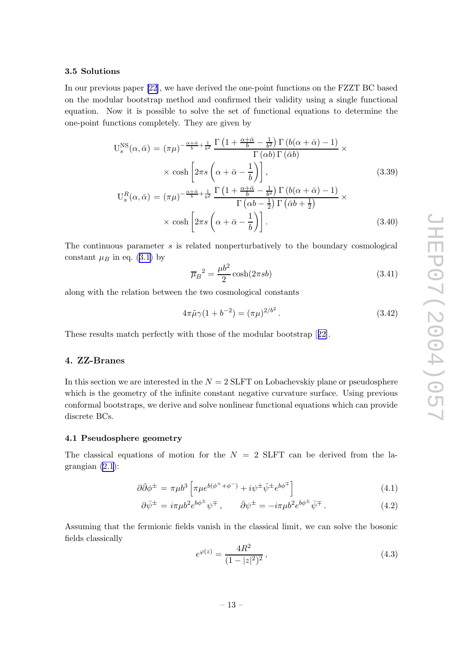#### <span id="page-13-0"></span>3.5 Solutions

In our previous paper [\[22](#page-24-0)], w e hav e derived the one-poin t functions on the FZZT BC based on the modular bootstrap method and confirmed their validity using a single functional equation. No w it is possible to solv e the set of functional equations to determine the one-poin t functions completely . They are given b y

$$
U_s^{NS}(\alpha, \bar{\alpha}) = (\pi \mu)^{-\frac{\alpha + \bar{\alpha}}{b} + \frac{1}{b^2}} \frac{\Gamma\left(1 + \frac{\alpha + \bar{\alpha}}{b} - \frac{1}{b^2}\right) \Gamma\left(b(\alpha + \bar{\alpha}) - 1\right)}{\Gamma(\alpha b) \Gamma(\bar{\alpha} b)} \times \n\times \cosh\left[2\pi s \left(\alpha + \bar{\alpha} - \frac{1}{b}\right)\right],
$$
\n
$$
U_s^R(\alpha, \bar{\alpha}) = (\pi \mu)^{-\frac{\alpha + \bar{\alpha}}{b} + \frac{1}{b^2}} \frac{\Gamma\left(1 + \frac{\alpha + \bar{\alpha}}{b} - \frac{1}{b^2}\right) \Gamma\left(b(\alpha + \bar{\alpha}) - 1\right)}{\Gamma\left(\alpha b - \frac{1}{2}\right) \Gamma\left(\bar{\alpha} b + \frac{1}{2}\right)} \times \n\times \cosh\left[2\pi s \left(\alpha + \bar{\alpha} - \frac{1}{b}\right)\right].
$$
\n(3.40)

The continuous parameter s is related nonperturbatively to the boundary cosmological constant  $\mu_B$  in eq. ([3.1](#page-6-0)) by

$$
\overline{\mu}_B{}^2 = \frac{\mu b^2}{2} \cosh(2\pi s b) \tag{3.41}
$$

along with the relation bet ween the t w o cosmological constants

$$
4\pi\tilde{\mu}\gamma(1+b^{-2}) = (\pi\mu)^{2/b^2}.
$$
\n(3.42)

These results matc h perfectly with those of the modular b ootstrap [[22\]](#page-24-0).

#### 4. ZZ-Branes

In this section we are interested in the  $N = 2$  SLFT on Lobachevskiy plane or pseudosphere whic h is the geometry of the infinite constan t negativ e curvature surface. Using previous conformal b ootstraps, w e deriv e and solv e nonlinear functional equations whic h can provide discrete BCs.

#### 4.1 Pseudosphere geometry

The classical equations of motion for the  $N = 2$  SLFT can be derived from the lagrangian [\(2.1](#page-3-0)):

$$
\partial \bar{\partial} \phi^{\pm} = \pi \mu b^3 \left[ \pi \mu e^{b(\phi^+ + \phi^-)} + i \psi^{\pm} \bar{\psi}^{\pm} e^{b \phi^{\mp}} \right] \tag{4.1}
$$

$$
\partial \bar{\psi}^{\pm} = i\pi \mu b^2 e^{b\phi^{\pm}} \psi^{\mp} , \qquad \bar{\partial}\psi^{\pm} = -i\pi \mu b^2 e^{b\phi^{\pm}} \bar{\psi}^{\mp} . \tag{4.2}
$$

Assuming that the fermionic fields vanish in the classical limit, we can solve the bosonic fields classically

$$
e^{\varphi(z)} = \frac{4R^2}{(1 - |z|^2)^2},\tag{4.3}
$$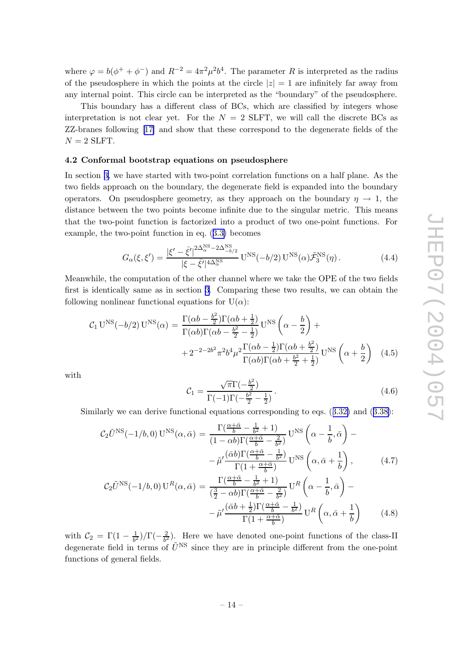<span id="page-14-0"></span>where  $\varphi = b(\phi^+ + \phi^-)$  and  $R^{-2} = 4\pi^2 \mu^2 b^4$ . The parameter R is interpreted as the radius of the pseudosphere in which the points at the circle  $|z|=1$  are infinitely far away from an y internal point. This circle can b e interpreted as the "boundary" of the pseudosphere.

This boundary has a differen t class of BCs, whic h are classified b y integers whose interpretation is not clear yet. For the  $N = 2$  SLFT, we will call the discrete BCs as ZZ-branes following [[17](#page-23-0) ] and sho w that these correspond to the degenerate fields of the  $N=2$  SLFT.

#### 4.2 Conformal b ootstrap equations on pseudosphere

In section [3](#page-6-0), we have started with two-point correlation functions on a half plane. As the t w o fields approac h on the boundary , the degenerate field is expanded into the boundary operators. On pseudosphere geometry, as they approach on the boundary  $\eta \to 1$ , the distance bet ween the t w o points become infinite due to the singular metric. This means that the t wo-poin t function is factorized into a product of t w o one-poin t functions. For example, the t wo-poin t function in eq. ([3.3](#page-7-0) ) becomes

$$
G_{\alpha}(\xi,\xi') = \frac{|\xi'-\bar{\xi}'|^{2\Delta_{\alpha}^{\text{NS}}-2\Delta_{-b/2}^{\text{NS}}}}{|\xi-\bar{\xi}'|^{4\Delta_{\alpha}^{\text{NS}}}} \mathbf{U}^{\text{NS}}(-b/2) \mathbf{U}^{\text{NS}}(\alpha) \tilde{\mathcal{F}}_3^{\text{NS}}(\eta). \tag{4.4}
$$

Meanwhile, the computation of the other channel where w e tak e the OPE of the t w o fields first is identically same as in section [3](#page-6-0) . Comparing these t w o results, w e can obtain the following nonlinear functional equations for  $U(\alpha)$ :

$$
C_1 \text{ U}^{\text{NS}}(-b/2) \text{ U}^{\text{NS}}(\alpha) = \frac{\Gamma(\alpha b - \frac{b^2}{2})\Gamma(\alpha b + \frac{1}{2})}{\Gamma(\alpha b)\Gamma(\alpha b - \frac{b^2}{2} - \frac{1}{2})} \text{ U}^{\text{NS}}\left(\alpha - \frac{b}{2}\right) + + 2^{-2 - 2b^2} \pi^2 b^4 \mu^2 \frac{\Gamma(\alpha b - \frac{1}{2})\Gamma(\alpha b + \frac{b^2}{2})}{\Gamma(\alpha b)\Gamma(\alpha b + \frac{b^2}{2} + \frac{1}{2})} \text{ U}^{\text{NS}}\left(\alpha + \frac{b}{2}\right) \tag{4.5}
$$

with

$$
C_1 = \frac{\sqrt{\pi} \Gamma(-\frac{b^2}{2})}{\Gamma(-1)\Gamma(-\frac{b^2}{2} - \frac{1}{2})}.
$$
\n(4.6)

Similarly we can derive functional equations corresponding to eqs.  $(3.32)$  $(3.32)$  $(3.32)$  and  $(3.38)$  $(3.38)$ :

$$
C_2 \tilde{U}^{\text{NS}}(-1/b,0) U^{\text{NS}}(\alpha,\bar{\alpha}) = \frac{\Gamma(\frac{\alpha+\bar{\alpha}}{b}-\frac{1}{b^2}+1)}{(1-\alpha b)\Gamma(\frac{\alpha+\bar{\alpha}}{b}-\frac{2}{b^2})} U^{\text{NS}}\left(\alpha-\frac{1}{b},\bar{\alpha}\right) - \tilde{\mu}'\frac{(\bar{\alpha}b)\Gamma(\frac{\alpha+\bar{\alpha}}{b}-\frac{1}{b^2})}{\Gamma(1+\frac{\alpha+\bar{\alpha}}{b})} U^{\text{NS}}\left(\alpha,\bar{\alpha}+\frac{1}{b}\right), \tag{4.7}
$$

$$
\mathcal{C}_2 \tilde{U}^{\text{NS}}(-1/b,0) U^R(\alpha,\bar{\alpha}) = \frac{\Gamma(\frac{\alpha+\bar{\alpha}}{b}-\frac{1}{b^2}+1)}{(\frac{3}{2}-\alpha b)\Gamma(\frac{\alpha+\bar{\alpha}}{b}-\frac{2}{b^2})} U^R\left(\alpha-\frac{1}{b},\bar{\alpha}\right) - \tilde{\mu}'\frac{(\bar{\alpha}b+\frac{1}{2})\Gamma(\frac{\alpha+\bar{\alpha}}{b}-\frac{1}{b^2})}{\Gamma(1+\frac{\alpha+\bar{\alpha}}{b})} U^R\left(\alpha,\bar{\alpha}+\frac{1}{b}\right)
$$
(4.8)

with  $\mathcal{C}_2 = \Gamma(1-\frac{1}{b^2})/\Gamma(-\frac{2}{b^2})$ . Here we have denoted one-point functions of the class-II degenerate field in terms of  $\tilde{U}^{NS}$  since they are in principle different from the one-point functions of general fields.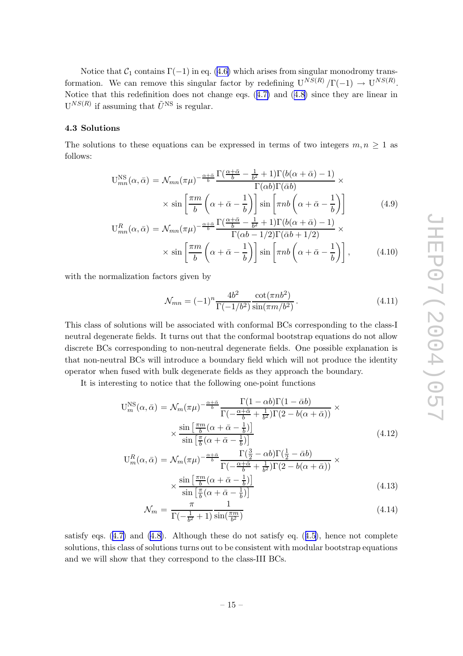<span id="page-15-0"></span>Notice that  $C_1$  contains  $\Gamma(-1)$  in eq. ([4.6](#page-14-0)) which arises from singular monodromy transformation. We can remove this singular factor by redefining  $U^{NS(R)}/\Gamma(-1) \rightarrow U^{NS(R)}$ . Notice that this redefinition does not change eqs.  $(4.7)$  $(4.7)$  $(4.7)$  and  $(4.8)$  $(4.8)$  $(4.8)$  since they are linear in  $U^{NS(R)}$  if assuming that  $\tilde{U}^{NS}$  is regular.

#### 4.3 Solutions

The solutions to these equations can be expressed in terms of two integers  $m, n \geq 1$  as follows:

$$
U_{mn}^{NS}(\alpha, \bar{\alpha}) = \mathcal{N}_{mn}(\pi \mu)^{-\frac{\alpha + \bar{\alpha}}{b}} \frac{\Gamma(\frac{\alpha + \bar{\alpha}}{b} - \frac{1}{b^2} + 1)\Gamma(b(\alpha + \bar{\alpha}) - 1)}{\Gamma(\alpha b)\Gamma(\bar{\alpha} b)} \times \sin\left[\frac{\pi m}{b} \left(\alpha + \bar{\alpha} - \frac{1}{b}\right)\right] \sin\left[\pi n b \left(\alpha + \bar{\alpha} - \frac{1}{b}\right)\right]
$$
(4.9)

$$
U_{mn}^{R}(\alpha,\bar{\alpha}) = \mathcal{N}_{mn}(\pi\mu)^{-\frac{\alpha+\bar{\alpha}}{b}} \frac{\Gamma(\frac{\alpha+\alpha}{b}-\frac{1}{b^{2}}+1)\Gamma(b(\alpha+\bar{\alpha})-1)}{\Gamma(\alpha b-1/2)\Gamma(\bar{\alpha}b+1/2)} \times \sin\left[\frac{\pi m}{b}\left(\alpha+\bar{\alpha}-\frac{1}{b}\right)\right] \sin\left[\pi nb\left(\alpha+\bar{\alpha}-\frac{1}{b}\right)\right],
$$
(4.10)

with the normalization factors given by

$$
\mathcal{N}_{mn} = (-1)^n \frac{4b^2}{\Gamma(-1/b^2)} \frac{\cot(\pi nb^2)}{\sin(\pi m/b^2)}.
$$
\n(4.11)

This class of solutions will b e associated with conformal BCs corresponding to the class-I neutral degenerate fields. It turns out that the conformal b ootstrap equations do not allo w discrete BCs corresponding to non-neutral degenerate fields. One possible explanation is that non-neutral BCs will introduce a boundary field whic h will not produce the identit y operator when fused with bulk degenerate fields as they approac h the boundary .

It is interesting to notice that the following one-poin t functions

$$
U_m^{\rm NS}(\alpha, \bar{\alpha}) = \mathcal{N}_m(\pi \mu)^{-\frac{\alpha + \bar{\alpha}}{b}} \frac{\Gamma(1 - \alpha b)\Gamma(1 - \bar{\alpha} b)}{\Gamma(-\frac{\alpha + \bar{\alpha}}{b} + \frac{1}{b^2})\Gamma(2 - b(\alpha + \bar{\alpha}))} \times \frac{\sin\left[\frac{\pi m}{b}(\alpha + \bar{\alpha} - \frac{1}{b})\right]}{\sin\left[\frac{\pi}{b}(\alpha + \bar{\alpha} - \frac{1}{b})\right]}
$$
(4.12)

$$
U_m^R(\alpha, \bar{\alpha}) = \mathcal{N}_m(\pi \mu)^{-\frac{\alpha + \bar{\alpha}}{b}} \frac{\Gamma(\frac{3}{2} - \alpha b)\Gamma(\frac{1}{2} - \bar{\alpha} b)}{\Gamma(-\frac{\alpha + \bar{\alpha}}{b} + \frac{1}{b^2})\Gamma(2 - b(\alpha + \bar{\alpha}))} \times \frac{\sin\left[\frac{\pi m}{b}(\alpha + \bar{\alpha} - \frac{1}{b})\right]}{\sin\left[\frac{\pi}{b}(\alpha + \bar{\alpha} - \frac{1}{b})\right]}
$$
(4.13)

$$
\mathcal{N}_m = \frac{\pi}{\Gamma(-\frac{1}{b^2} + 1)} \frac{1}{\sin(\frac{\pi m}{b^2})}
$$
(4.14)

satisfy eqs. ([4.7](#page-14-0) ) and [\(4.8\)](#page-14-0). Although these do not satisfy eq. ([4.5\)](#page-14-0), hence not complete solutions, this class of solutions turns out to be consistent with modular bootstrap equations and w e will sho w that they correspond to the class-I I I BCs.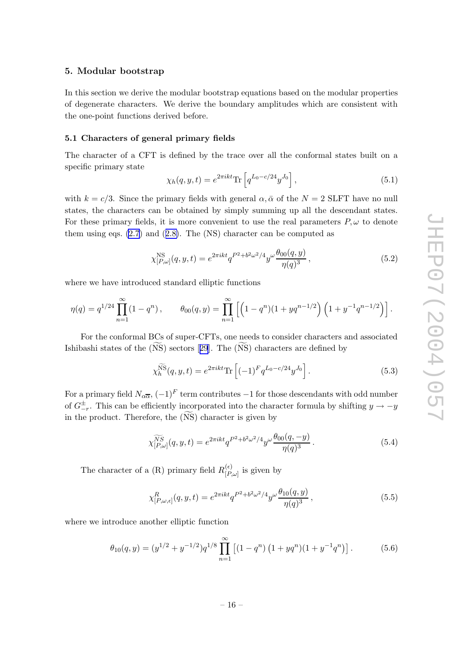#### <span id="page-16-0"></span>5. Modular b ootstrap

In this section we derive the modular bootstrap equations based on the modular properties of degenerate characters. We deriv e the boundary amplitudes whic h are consisten t with the one-poin t functions derived before.

#### 5.1 Characters of general primary fields

The character of a CFT is defined by the trace over all the conformal states built on a specific primary state

$$
\chi_h(q, y, t) = e^{2\pi ikt} \text{Tr} \left[ q^{L_0 - c/24} y^{J_0} \right],\tag{5.1}
$$

with  $k = c/3$ . Since the primary fields with general  $\alpha, \bar{\alpha}$  of the  $N = 2$  SLFT have no null states, the characters can b e obtained b y simply summing up all the descendan t states. For these primary fields, it is more convenient to use the real parameters  $P, \omega$  to denote them using eqs. [\(2.7](#page-4-0) ) and ([2.8\)](#page-4-0). The (NS) character can b e computed as

$$
\chi_{[P,\omega]}^{\rm NS}(q,y,t) = e^{2\pi ikt} q^{P^2 + b^2 \omega^2/4} y^{\omega} \frac{\theta_{00}(q,y)}{\eta(q)^3},\tag{5.2}
$$

where we have introduced standard elliptic functions

$$
\eta(q) = q^{1/24} \prod_{n=1}^{\infty} (1 - q^n), \qquad \theta_{00}(q, y) = \prod_{n=1}^{\infty} \left[ \left( 1 - q^n \right) (1 + y q^{n-1/2}) \left( 1 + y^{-1} q^{n-1/2} \right) \right].
$$

For the conformal BCs of super-CFTs, one needs to consider characters and associated Ishibashi states of the (NS) sectors [[29](#page-24-0)]. The (NS) characters are defined by

$$
\chi_h^{\widetilde{NS}}(q, y, t) = e^{2\pi ikt} \text{Tr} \left[ (-1)^F q^{L_0 - c/24} y^{J_0} \right]. \tag{5.3}
$$

For a primary field  $N_{\alpha\overline{\alpha}}$ ,  $(-1)^F$  term contributes  $-1$  for those descendants with odd number of  $G_{-r}^{\pm}$ . This can be efficiently incorporated into the character formula by shifting  $y \to -y$ in the product. Therefore, the (NS) character is given by

$$
\widetilde{\chi_{[P,\omega]}^{SS}}(q,y,t) = e^{2\pi ikt} q^{P^2 + b^2 \omega^2/4} y^{\omega} \frac{\theta_{00}(q,-y)}{\eta(q)^3}.
$$
\n(5.4)

The character of a (R) primary field  $R_{\{P\}}^{(\epsilon)}$  $P^{(e)}_{\mu}$  is given by

$$
\chi_{[P,\omega,\epsilon]}^{R}(q,y,t) = e^{2\pi ikt} q^{P^2 + b^2 \omega^2/4} y^{\omega} \frac{\theta_{10}(q,y)}{\eta(q)^3},
$$
\n(5.5)

where we introduce another elliptic function

$$
\theta_{10}(q,y) = (y^{1/2} + y^{-1/2})q^{1/8} \prod_{n=1}^{\infty} \left[ (1 - q^n) \left( 1 + yq^n \right) (1 + y^{-1} q^n) \right]. \tag{5.6}
$$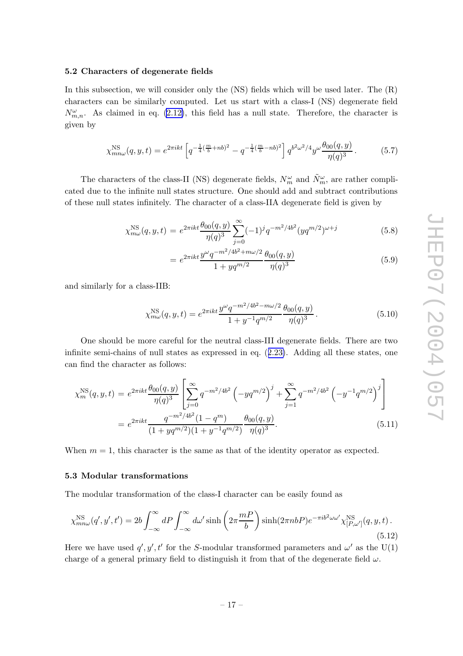#### <span id="page-17-0"></span>5.2 Characters of degenerate fields

In this subsection, we will consider only the (NS) fields which will be used later. The  $(R)$ characters can b e similarly computed. Let us start with a class-I (NS) degenerate field  $N_{m,n}^{\omega}$ . As claimed in eq. [\(2.12\)](#page-5-0), this field has a null state. Therefore, the character is given b y

$$
\chi_{m n \omega}^{\rm NS}(q, y, t) = e^{2\pi i k t} \left[ q^{-\frac{1}{4} (\frac{m}{b} + nb)^2} - q^{-\frac{1}{4} (\frac{m}{b} - nb)^2} \right] q^{b^2 \omega^2 / 4} y^{\omega} \frac{\theta_{00}(q, y)}{\eta(q)^3}.
$$
 (5.7)

The characters of the class-II (NS) degenerate fields,  $N_m^{\omega}$  and  $\tilde{N}_m^{\omega}$ , are rather complicated due to the infinite null states structure. One should add and subtract contributions of these null states infinitely . The character of a class-IIA degenerate field is given b y

$$
\chi_{m\omega}^{\rm NS}(q,y,t) = e^{2\pi ikt} \frac{\theta_{00}(q,y)}{\eta(q)^3} \sum_{j=0}^{\infty} (-1)^j q^{-m^2/4b^2} (yq^{m/2})^{\omega+j}
$$
(5.8)

$$
= e^{2\pi ikt} \frac{y^{\omega} q^{-m^2/4b^2 + m\omega/2}}{1 + yq^{m/2}} \frac{\theta_{00}(q, y)}{\eta(q)^3}
$$
(5.9)

and similarly for a class-IIB:

$$
\chi_{m\omega}^{\rm NS}(q, y, t) = e^{2\pi ikt} \frac{y^{\omega} q^{-m^2/4b^2 - m\omega/2}}{1 + y^{-1} q^{m/2}} \frac{\theta_{00}(q, y)}{\eta(q)^3}.
$$
\n(5.10)

One should be more careful for the neutral class-III degenerate fields. There are two infinite semi-chains of null states as expressed in eq. ([2.23\)](#page-6-0). Adding all these states, one can find the character as follows:

$$
\chi_m^{\text{NS}}(q, y, t) = e^{2\pi ikt} \frac{\theta_{00}(q, y)}{\eta(q)^3} \left[ \sum_{j=0}^{\infty} q^{-m^2/4b^2} \left( -y q^{m/2} \right)^j + \sum_{j=1}^{\infty} q^{-m^2/4b^2} \left( -y^{-1} q^{m/2} \right)^j \right]
$$
  
= 
$$
e^{2\pi ikt} \frac{q^{-m^2/4b^2} (1 - q^m)}{(1 + y q^{m/2})(1 + y^{-1} q^{m/2})} \frac{\theta_{00}(q, y)}{\eta(q)^3}.
$$
 (5.11)

When  $m = 1$ , this character is the same as that of the identity operator as expected.

#### 5.3 Modular transformations

The modular transformation of the class-I character can b e easily found as

$$
\chi_{mm\omega}^{\rm NS}(q',y',t') = 2b \int_{-\infty}^{\infty} dP \int_{-\infty}^{\infty} d\omega' \sinh\left(2\pi \frac{mP}{b}\right) \sinh(2\pi nbP) e^{-\pi i b^2 \omega \omega'} \chi_{[P,\omega']}^{\rm NS}(q,y,t).
$$
\n(5.12)

Here we have used  $q', y', t'$  for the S-modular transformed parameters and  $\omega'$  as the U(1) charge of a general primary field to distinguish it from that of the degenerate field  $\omega$ .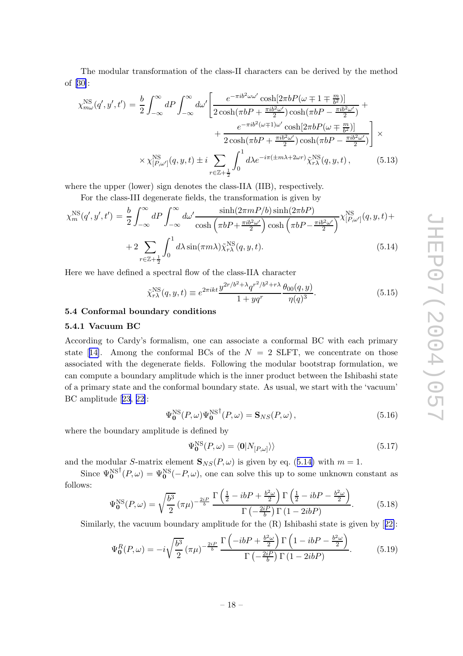<span id="page-18-0"></span>The modular transformation of the class-I I characters can b e derived b y the metho d of [[30\]](#page-24-0):

$$
\chi_{m\omega}^{\text{NS}}(q',y',t') = \frac{b}{2} \int_{-\infty}^{\infty} dP \int_{-\infty}^{\infty} d\omega' \left[ \frac{e^{-\pi i b^2 \omega \omega'} \cosh[2\pi b P(\omega \mp 1 \mp \frac{m}{b^2})]}{2 \cosh(\pi b P + \frac{\pi i b^2 \omega'}{2}) \cosh(\pi b P - \frac{\pi i b^2 \omega'}{2})} + \frac{e^{-\pi i b^2 (\omega \mp 1)\omega'} \cosh[2\pi b P(\omega \mp \frac{m}{b^2})]}{2 \cosh(\pi b P + \frac{\pi i b^2 \omega'}{2}) \cosh(\pi b P - \frac{\pi i b^2 \omega'}{2})} \right] \times
$$
  
 
$$
\times \chi_{[P,\omega']}^{\text{NS}}(q,y,t) \pm i \sum_{r \in \mathbb{Z} + \frac{1}{2}} \int_{0}^{1} d\lambda e^{-i\pi (\pm m\lambda + 2\omega r)} \tilde{\chi}_{r\lambda}^{\text{NS}}(q,y,t), \qquad (5.13)
$$

where the upper (lower) sign denotes the class-IIA (IIB), respectively.

For the class-III degenerate fields, the transformation is given by

$$
\chi_m^{\rm NS}(q',y',t') = \frac{b}{2} \int_{-\infty}^{\infty} dP \int_{-\infty}^{\infty} d\omega' \frac{\sinh(2\pi mP/b)\sinh(2\pi bP)}{\cosh(\pi bP + \frac{\pi i b^2 \omega'}{2})\cosh(\pi bP - \frac{\pi i b^2 \omega'}{2})} \chi_{[P,\omega']}^{\rm NS} (q,y,t) +
$$
  
+2
$$
\sum_{r \in \mathbb{Z}+\frac{1}{2}} \int_{0}^{1} d\lambda \sin(\pi m\lambda) \tilde{\chi}_{r\lambda}^{\rm NS}(q,y,t).
$$
(5.14)

Here w e hav e defined a spectral flo w of the class-IIA character

$$
\tilde{\chi}_{r\lambda}^{\text{NS}}(q, y, t) \equiv e^{2\pi ikt} \frac{y^{2r/b^2 + \lambda} q^{r^2/b^2 + r\lambda}}{1 + yq^r} \frac{\theta_{00}(q, y)}{\eta(q)^3}.
$$
\n(5.15)

#### 5.4 Conformal boundary conditions

#### 5.4.1 Vacuum BC

According to Cardy's formalism, one can associate a conformal BC with eac h primary state [[14\]](#page-23-0). Among the conformal BCs of the  $N = 2$  SLFT, we concentrate on those associated with the degenerate fields. Following the modular bootstrap formulation, we can compute a boundary amplitude whic h is the inner product bet ween the Ishibashi state of a primary state and the conformal boundary state. As usual, w e start with the 'vacuum' BC amplitude [[23](#page-24-0) , [22\]](#page-24-0):

$$
\Psi_0^{\rm NS}(P,\omega)\Psi_0^{\rm NS}{}^{\dagger}(P,\omega) = \mathbf{S}_{NS}(P,\omega)\,,\tag{5.16}
$$

where the boundary amplitude is defined by

$$
\Psi_0^{\rm NS}(P,\omega) = \langle 0|N_{[P,\omega]}\rangle \tag{5.17}
$$

and the modular S-matrix element  $\mathbf{S}_{NS}(P,\omega)$  is given by eq. (5.14) with  $m=1$ .

Since  $\Psi_0^{\text{NS}^\dagger}(P,\omega) = \Psi_0^{\text{NS}}(-P,\omega)$ , one can solve this up to some unknown constant as follows:

$$
\Psi_0^{\text{NS}}(P,\omega) = \sqrt{\frac{b^3}{2}} \left(\pi \mu\right)^{-\frac{2iP}{b}} \frac{\Gamma\left(\frac{1}{2} - ibP + \frac{b^2 \omega}{2}\right) \Gamma\left(\frac{1}{2} - ibP - \frac{b^2 \omega}{2}\right)}{\Gamma\left(-\frac{2iP}{b}\right) \Gamma\left(1 - 2ibP\right)}.
$$
(5.18)

Similarly, the vacuum boundary amplitude for the  $(R)$  Ishibashi state is given by [[22\]](#page-24-0):

$$
\Psi_0^R(P,\omega) = -i\sqrt{\frac{b^3}{2}} \left(\pi\mu\right)^{-\frac{2iP}{b}} \frac{\Gamma\left(-ibP + \frac{b^2\omega}{2}\right)\Gamma\left(1 - ibP - \frac{b^2\omega}{2}\right)}{\Gamma\left(-\frac{2iP}{b}\right)\Gamma\left(1 - 2ibP\right)}.\tag{5.19}
$$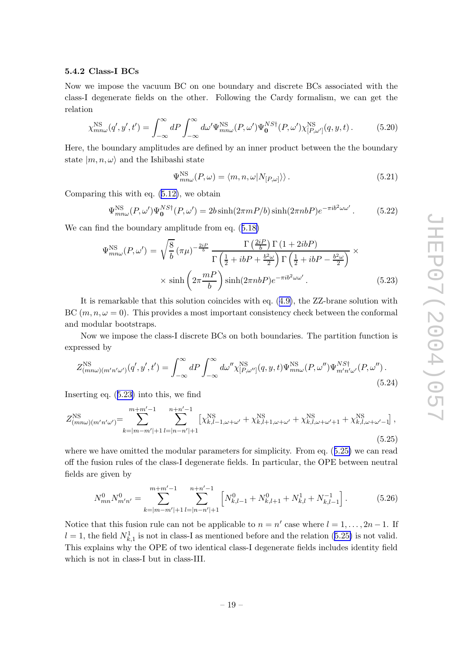#### <span id="page-19-0"></span>5.4.2 Class-I BCs

No w w e impose the vacuum BC on one boundary and discrete BCs associated with the class-I degenerate fields on the other. Following the Cardy formalism, w e can get the relation

$$
\chi_{m n \omega}^{\rm NS}(q', y', t') = \int_{-\infty}^{\infty} dP \int_{-\infty}^{\infty} d\omega' \Psi_{m n \omega}^{\rm NS}(P, \omega') \Psi_0^{N S \dagger}(P, \omega') \chi_{[P, \omega']}^{\rm NS} (q, y, t).
$$
 (5.20)

Here, the boundary amplitudes are defined b y an inner product bet ween the the boundary state  $|m, n, \omega\rangle$  and the Ishibashi state

$$
\Psi_{mn\omega}^{\rm NS}(P,\omega) = \langle m, n, \omega | N_{[P,\omega]} \rangle \rangle. \tag{5.21}
$$

Comparing this with eq. [\(5.12\)](#page-17-0), w e obtain

$$
\Psi_{mn\omega}^{\rm NS}(P,\omega')\Psi_0^{NS\dagger}(P,\omega') = 2b\sinh(2\pi mP/b)\sinh(2\pi nbP)e^{-\pi ib^2\omega\omega'}.\tag{5.22}
$$

We can find the boundary amplitude from eq.  $(5.18)$  $(5.18)$  $(5.18)$ 

$$
\Psi_{mn\omega}^{\rm NS}(P,\omega') = \sqrt{\frac{8}{b}} \left(\pi\mu\right)^{-\frac{2iP}{b}} \frac{\Gamma\left(\frac{2iP}{b}\right)\Gamma\left(1+2ibP\right)}{\Gamma\left(\frac{1}{2}+ibP+\frac{b^2\omega}{2}\right)\Gamma\left(\frac{1}{2}+ibP-\frac{b^2\omega}{2}\right)} \times \sinh\left(2\pi\frac{mP}{b}\right) \sinh(2\pi nbP)e^{-\pi ib^2\omega\omega'}.
$$
\n(5.23)

It is remarkable that this solution coincides with eq. ([4.9\)](#page-15-0), the ZZ-brane solution with BC  $(m, n, \omega = 0)$ . This provides a most important consistency check between the conformal and modular b ootstraps.

No w w e impose the class-I discrete BCs on both boundaries. The partition function is expressed b y

$$
Z_{(m n\omega)(m'n'\omega')}^{\rm NS}(\mathbf{q}',\mathbf{y}',t') = \int_{-\infty}^{\infty} dP \int_{-\infty}^{\infty} d\omega'' \chi_{[P,\omega'']}^{\rm NS}(\mathbf{q},\mathbf{y},t) \Psi_{mn\omega}^{\rm NS}(\mathbf{P},\omega'') \Psi_{m'n'\omega'}^{NS\dagger}(\mathbf{P},\omega'') .
$$
\n(5.24)

Inserting eq. (5.23 ) into this, w e find

$$
Z_{(mn\omega)(m'n'\omega')}^{\text{NS}} = \sum_{k=|m-m'|+1}^{m+m'-1} \sum_{l=|n-n'|+1}^{n+n'-1} \left[ \chi_{k,l-1,\omega+\omega'}^{\text{NS}} + \chi_{k,l+1,\omega+\omega'}^{\text{NS}} + \chi_{k,l,\omega+\omega'+1}^{\text{NS}} + \chi_{k,l,\omega+\omega'-1}^{\text{NS}} \right],\tag{5.25}
$$

where we have omitted the modular parameters for simplicity. From eq.  $(5.25)$  we can read off the fusion rules of the class-I degenerate fields. In particular, the OPE bet ween neutral fields are given b y

$$
N_{mn}^0 N_{m'n'}^0 = \sum_{k=|m-m'|+1}^{m+m'-1} \sum_{l=|n-n'|+1}^{n+n'-1} \left[ N_{k,l-1}^0 + N_{k,l+1}^0 + N_{k,l}^1 + N_{k,l-1}^{-1} \right].
$$
 (5.26)

Notice that this fusion rule can not be applicable to  $n = n'$  case where  $l = 1, ..., 2n - 1$ . If  $l = 1$ , the field  $N_{k,1}^1$  is not in class-I as mentioned before and the relation (5.25) is not valid. This explains why the OPE of two identical class-I degenerate fields includes identity field which is not in class-I but in class-III.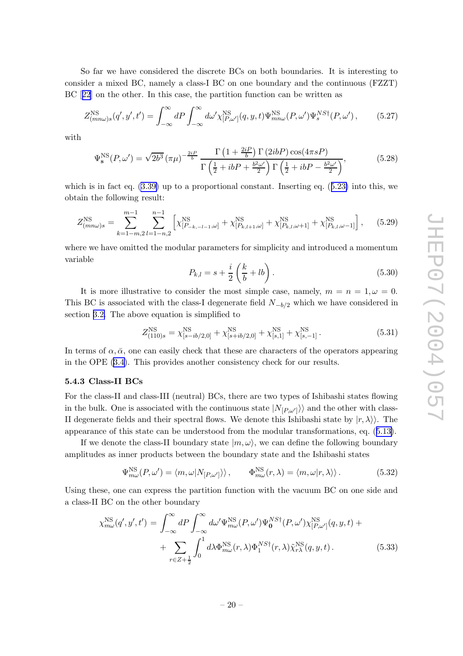<span id="page-20-0"></span>So far w e hav e considered the discrete BCs on both boundaries. It is interesting to consider a mixed BC, namely a class-I BC on one boundary and the continuous (FZZT) BC [[22](#page-24-0) ] on the other. In this case, the partition function can b e written as

$$
Z_{(mn\omega)s}^{\rm NS}(q',y',t') = \int_{-\infty}^{\infty} dP \int_{-\infty}^{\infty} d\omega' \chi_{[P,\omega']}^{\rm NS} (q,y,t) \Psi_{mn\omega}^{\rm NS}(P,\omega') \Psi_s^{NS\dagger}(P,\omega'), \qquad (5.27)
$$

with

$$
\Psi_{\mathbf{s}}^{\mathrm{NS}}(P,\omega') = \sqrt{2b^3} \left(\pi \mu\right)^{-\frac{2iP}{b}} \frac{\Gamma\left(1 + \frac{2iP}{b}\right) \Gamma\left(2ibP\right) \cos(4\pi sP)}{\Gamma\left(\frac{1}{2} + ibP + \frac{b^2 \omega'}{2}\right) \Gamma\left(\frac{1}{2} + ibP - \frac{b^2 \omega'}{2}\right)},\tag{5.28}
$$

which is in fact eq.  $(3.39)$  $(3.39)$  up to a proportional constant. Inserting eq.  $(5.23)$  $(5.23)$  $(5.23)$  into this, we obtain the following result:

$$
Z_{(mn\omega)s}^{\rm NS} = \sum_{k=1-m,2}^{m-1} \sum_{l=1-n,2}^{n-1} \left[ \chi_{[P_{-k,-l-1},\omega]}^{\rm NS} + \chi_{[P_{k,l+1},\omega]}^{\rm NS} + \chi_{[P_{k,l},\omega+1]}^{\rm NS} + \chi_{[P_{k,l},\omega-1]}^{\rm NS} \right], \quad (5.29)
$$

where we have omitted the modular parameters for simplicity and introduced a momentum variable

$$
P_{k,l} = s + \frac{i}{2} \left( \frac{k}{b} + lb \right). \tag{5.30}
$$

It is more illustrative to consider the most simple case, namely,  $m = n = 1, \omega = 0$ . This BC is associated with the class-I degenerate field  $N_{-b/2}$  which we have considered in section [3.2](#page-7-0). The above equation is simplified to

$$
Z_{(110)s}^{\rm NS} = \chi_{[s-ib/2,0]}^{\rm NS} + \chi_{[s+ib/2,0]}^{\rm NS} + \chi_{[s,1]}^{\rm NS} + \chi_{[s,-1]}^{\rm NS}.
$$
 (5.31)

In terms of  $\alpha, \bar{\alpha}$ , one can easily check that these are characters of the operators appearing in the OPE ([3.4\)](#page-7-0). This provides another consistency chec k for our results.

#### 5.4.3 Class-I I BCs

For the class-II and class-III (neutral) BCs, there are two types of Ishibashi states flowing in the bulk. One is associated with the continuous state  $|N_{[P,\omega']}\rangle$  and the other with class-II degenerate fields and their spectral flows. We denote this Ishibashi state by  $|r, \lambda \rangle$ . The appearance of this state can b e understo o d from the modular transformations, eq. ([5.13\)](#page-18-0).

If we denote the class-II boundary state  $|m, \omega\rangle$ , we can define the following boundary amplitudes as inner products bet ween the boundary state and the Ishibashi states

$$
\Psi_{m\omega}^{\rm NS}(P,\omega') = \langle m,\omega|N_{[P,\omega']}\rangle, \qquad \Phi_{m\omega}^{\rm NS}(r,\lambda) = \langle m,\omega|r,\lambda\rangle.
$$
 (5.32)

Using these, one can express the partition function with the vacuum BC on one side and a class-I I BC on the other boundary

$$
\chi_{m\omega}^{\rm NS}(q',y',t') = \int_{-\infty}^{\infty} dP \int_{-\infty}^{\infty} d\omega' \Psi_{m\omega}^{\rm NS}(P,\omega') \Psi_0^{NS\dagger}(P,\omega') \chi_{[P,\omega']}^{\rm NS}(q,y,t) + \sum_{r \in Z + \frac{1}{2}} \int_0^1 d\lambda \Phi_{m\omega}^{\rm NS}(r,\lambda) \Phi_1^{NS\dagger}(r,\lambda) \tilde{\chi}_{r\lambda}^{\rm NS}(q,y,t).
$$
 (5.33)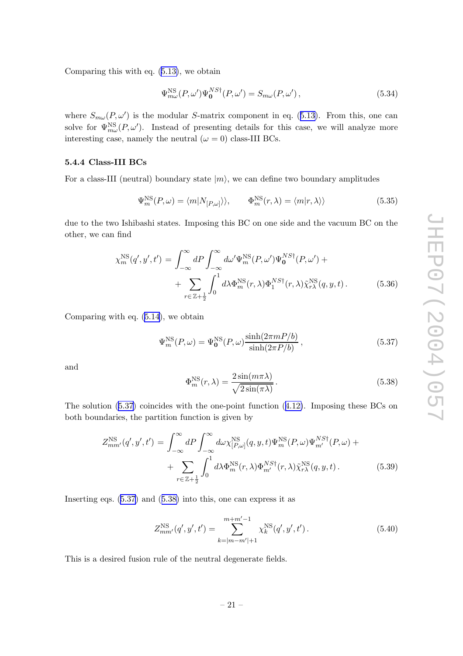<span id="page-21-0"></span>Comparing this with eq. [\(5.13\)](#page-18-0), w e obtain

$$
\Psi_{m\omega}^{\rm NS}(P,\omega')\Psi_0^{NS\dagger}(P,\omega') = S_{m\omega}(P,\omega'),\tag{5.34}
$$

where  $S_{m\omega}(P,\omega')$  is the modular S-matrix component in eq. ([5.13\)](#page-18-0). From this, one can solve for  $\Psi_{m\omega}^{\text{NS}}(P,\omega')$ . Instead of presenting details for this case, we will analyze more interesting case, namely the neutral  $(\omega = 0)$  class-III BCs.

#### 5.4.4 Class-I I I BCs

For a class-III (neutral) boundary state  $|m\rangle$ , we can define two boundary amplitudes

$$
\Psi_m^{\rm NS}(P,\omega) = \langle m | N_{[P,\omega]} \rangle, \qquad \Phi_m^{\rm NS}(r,\lambda) = \langle m | r,\lambda \rangle \tag{5.35}
$$

due to the t w o Ishibashi states. Imposing this BC on one side and the vacuum BC on the other, w e can find

$$
\chi_m^{\rm NS}(q', y', t') = \int_{-\infty}^{\infty} dP \int_{-\infty}^{\infty} d\omega' \Psi_m^{\rm NS}(P, \omega') \Psi_0^{NS\dagger}(P, \omega') + \sum_{r \in \mathbb{Z} + \frac{1}{2}} \int_0^1 d\lambda \Phi_m^{\rm NS}(r, \lambda) \Phi_1^{NS\dagger}(r, \lambda) \tilde{\chi}_{r\lambda}^{\rm NS}(q, y, t).
$$
 (5.36)

Comparing with eq. ([5.14\)](#page-18-0), w e obtain

$$
\Psi_m^{\rm NS}(P,\omega) = \Psi_0^{\rm NS}(P,\omega) \frac{\sinh(2\pi m P/b)}{\sinh(2\pi P/b)},
$$
\n(5.37)

and

$$
\Phi_m^{\rm NS}(r,\lambda) = \frac{2\sin(m\pi\lambda)}{\sqrt{2\sin(\pi\lambda)}}.
$$
\n(5.38)

The solution (5.37 ) coincides with the one-poin t function ([4.12\)](#page-15-0). Imposing these BCs on both boundaries, the partition function is given by

$$
Z_{mm'}^{\rm NS} (q', y', t') = \int_{-\infty}^{\infty} dP \int_{-\infty}^{\infty} d\omega \chi_{[P,\omega]}^{\rm NS} (q, y, t) \Psi_m^{\rm NS}(P, \omega) \Psi_{m'}^{NS\dagger}(P, \omega) + \sum_{r \in \mathbb{Z} + \frac{1}{2}} \int_0^1 d\lambda \Phi_m^{\rm NS}(r, \lambda) \Phi_{m'}^{NS\dagger}(r, \lambda) \tilde{\chi}_{r\lambda}^{\rm NS}(q, y, t).
$$
 (5.39)

Inserting eqs. (5.37 ) and (5.38 ) into this, one can express it as

$$
Z_{mm'}^{\rm NS} (q', y', t') = \sum_{k=|m-m'|+1}^{m+m'-1} \chi_k^{\rm NS} (q', y', t'). \qquad (5.40)
$$

This is a desired fusion rule of the neutral degenerate fields.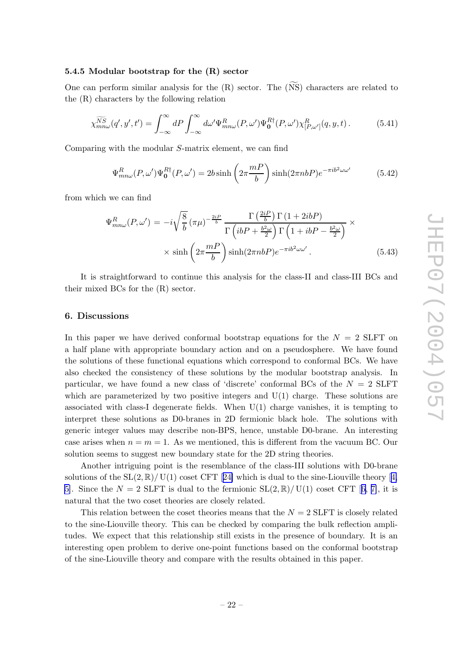#### <span id="page-22-0"></span>5.4.5 Modular b ootstrap for the (R) sector

One can perform similar analysis for the  $(R)$  sector. The  $(NS)$  characters are related to the (R) characters b y the following relation

$$
\widetilde{\chi_{mn\omega}^{NS}}(q',y',t') = \int_{-\infty}^{\infty} dP \int_{-\infty}^{\infty} d\omega' \Psi_{mn\omega}^{R}(P,\omega') \Psi_{\mathbf{0}}^{R\dagger}(P,\omega') \chi_{[P,\omega']}^{R}(q,y,t).
$$
 (5.41)

Comparing with the modular S-matrix element, w e can find

$$
\Psi_{mn\omega}^{R}(P,\omega')\Psi_{\mathbf{0}}^{R\dagger}(P,\omega') = 2b\sinh\left(2\pi\frac{mP}{b}\right)\sinh(2\pi nbP)e^{-\pi ib^2\omega\omega'}\tag{5.42}
$$

from whic h w e can find

$$
\Psi_{mn\omega}^{R}(P,\omega') = -i\sqrt{\frac{8}{b}} \left(\pi\mu\right)^{-\frac{2iP}{b}} \frac{\Gamma\left(\frac{2iP}{b}\right)\Gamma\left(1+2ibP\right)}{\Gamma\left(ibP + \frac{b^2\omega}{2}\right)\Gamma\left(1+ibP - \frac{b^2\omega}{2}\right)} \times \sinh\left(2\pi\frac{mP}{b}\right) \sinh(2\pi nbP)e^{-\pi ib^2\omega\omega'}.
$$
\n(5.43)

It is straightforward to continue this analysis for the class-I I and class-I I I BCs and their mixed BCs for the (R) sector.

#### 6. Discussions

In this paper we have derived conformal bootstrap equations for the  $N = 2$  SLFT on a half plane with appropriate boundary action and on a pseudosphere. We hav e found the solutions of these functional equations whic h correspond to conformal BCs. We hav e also chec ked the consistency of these solutions b y the modular b ootstrap analysis. In particular, we have found a new class of 'discrete' conformal BCs of the  $N = 2$  SLFT which are parameterized by two positive integers and  $U(1)$  charge. These solutions are associated with class-I degenerate fields. When U(1) charge vanishes, it is tempting to interpret these solutions as D0-branes in 2D fermionic blac k hole. The solutions with generic integer values may describ e non-BPS, hence, unstable D0-brane. An interesting case arises when  $n = m = 1$ . As we mentioned, this is different from the vacuum BC. Our solution seems to suggest new boundary state for the 2D string theories.

Another intriguing point is the resemblance of the class-III solutions with D0-brane solutions of the  $SL(2,\mathbb{R})/$  U(1) coset CFT [[24](#page-24-0)] which is dual to the sine-Liouville theory [[4](#page-23-0), 5. Since the  $N = 2$  SLFT is dual to the fermionic  $SL(2, \mathbb{R})/ U(1)$  coset CFT [[6](#page-23-0), [7\]](#page-23-0), it is natural that the t w o coset theories are closely related.

This relation between the coset theories means that the  $N = 2$  SLFT is closely related to the sine-Liouville theory . This can b e chec ked b y comparing the bulk reflection amplitudes. We expect that this relationship still exists in the presence of boundary. It is an interesting open problem to deriv e one-poin t functions based on the conformal b ootstrap of the sine-Liouville theory and compare with the results obtained in this paper.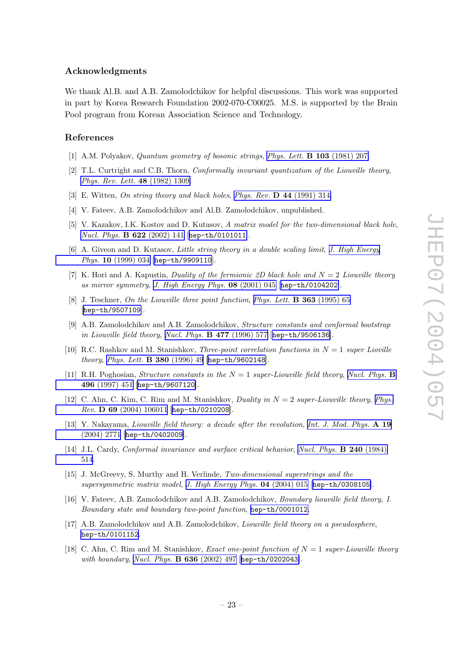#### <span id="page-23-0"></span>Acknowledgments

We thank Al.B. and A.B. Zamolodchikov for helpful discussions. This work was supported in part b y Korea Researc h Foundation 2002-070-C00025. M.S. is supported b y the Brain P ool program from Korean Association Science and Technology .

#### References

- [1] A.M. Polyakov, *Quantum geometry of bosonic strings, Phys. Lett.* **B** 103 [\(1981\)](http://www-spires.slac.stanford.edu/spires/find/hep/www?j=PHLTA%2CB103%2C207) 207.
- [2] T.L. Curtright and C.B. Thorn, *Conformally invariant quantization of the Liouville theory*, Phys. Rev. Lett. **48** [\(1982\)](http://www-spires.slac.stanford.edu/spires/find/hep/www?j=PRLTA%2C48%2C1309) 1309.
- [3] E. Witten, On string theory and black holes, Phys. Rev.  $\bf{D}$  44 [\(1991\)](http://www-spires.slac.stanford.edu/spires/find/hep/www?j=PHRVA%2CD44%2C314) 314.
- [4] V. Fateev, A.B. Zamolodchik o v and Al.B. Zamolodchik ov, unpublished.
- [5] V. Kazakov, I.K. Kostov and D. Kutasov, A matrix model for the two-dimensional black hole, Nucl. Phys. **B 622** [\(2002\)](http://www-spires.slac.stanford.edu/spires/find/hep/www?j=NUPHA%2CB622%2C141) 141 [[hep-th/0101011](http://xxx.lanl.gov/abs/hep-th/0101011)].
- [6] A. Giveon and D. Kutasov, Little string theory in a double scaling limit, J. High [Energy](http://jhep.sissa.it/stdsearch?paper=10%281999%29034) Phys. 10 [\(1999\)](http://jhep.sissa.it/stdsearch?paper=10%281999%29034) 034 [[hep-th/9909110](http://xxx.lanl.gov/abs/hep-th/9909110)].
- [7] K. Hori and A. Kapustin, Duality of the fermionic 2D black hole and  $N = 2$  Liouville theory as mirror symmetry , J. High [Energy](http://jhep.sissa.it/stdsearch?paper=08%282001%29045) Phys. 08 (2001) 045 [[hep-th/0104202](http://xxx.lanl.gov/abs/hep-th/0104202)].
- [8] J. Teschner, On the Liouville three point function, Phys. Lett. **B 363** [\(1995\)](http://www-spires.slac.stanford.edu/spires/find/hep/www?j=PHLTA%2CB363%2C65) 65 [[hep-th/9507109](http://xxx.lanl.gov/abs/hep-th/9507109)].
- [9] A.B. Zamolodchikov and A.B. Zamolodchikov, Structure constants and conformal bootstrap in Liouville field theory, Nucl. Phys. **B 477** [\(1996\)](http://www-spires.slac.stanford.edu/spires/find/hep/www?j=NUPHA%2CB477%2C577) 577 [[hep-th/9506136](http://xxx.lanl.gov/abs/hep-th/9506136)].
- [10] R.C. Rashkov and M. Stanishkov, *Three-point correlation functions in*  $N = 1$  super Lioville theory, Phys. Lett. **B 380** [\(1996\)](http://www-spires.slac.stanford.edu/spires/find/hep/www?j=PHLTA%2CB380%2C49) 49 [[hep-th/9602148](http://xxx.lanl.gov/abs/hep-th/9602148)].
- [11] R.H. Poghosian, Structure constants in the  $N = 1$  super-Liouville field theory, Nucl. [Phys.](http://www-spires.slac.stanford.edu/spires/find/hep/www?j=NUPHA%2CB496%2C451) **B** 496 [\(1997\)](http://www-spires.slac.stanford.edu/spires/find/hep/www?j=NUPHA%2CB496%2C451) 451 [[hep-th/9607120](http://xxx.lanl.gov/abs/hep-th/9607120)].
- [12] C. Ahn, C. Kim, C. Rim and M. Stanishkov, *Duality in*  $N = 2$  super-Liouville theory, *[Phys.](http://www-spires.slac.stanford.edu/spires/find/hep/www?j=PHRVA%2CD69%2C106011)* Rev. D 69 (2004) [106011](http://www-spires.slac.stanford.edu/spires/find/hep/www?j=PHRVA%2CD69%2C106011) [[hep-th/0210208](http://xxx.lanl.gov/abs/hep-th/0210208)].
- [13] Y. Nakayama, Liouville field theory: a decade after the revolution, Int. J. Mod. [Phys.](http://www-spires.slac.stanford.edu/spires/find/hep/www?j=IMPAE%2CA19%2C2771) A 19 [\(2004\)](http://www-spires.slac.stanford.edu/spires/find/hep/www?j=IMPAE%2CA19%2C2771) 2771 [[hep-th/0402009](http://xxx.lanl.gov/abs/hep-th/0402009)].
- [14] J.L. Cardy, Conformal invariance and surface critical behavior, Nucl. Phys. **B 240** [\(1984\)](http://www-spires.slac.stanford.edu/spires/find/hep/www?j=NUPHA%2CB240%2C514) [514](http://www-spires.slac.stanford.edu/spires/find/hep/www?j=NUPHA%2CB240%2C514) .
- [15] J. McGreevy, S. Murthy and H. Verlinde, Two-dimensional superstrings and the supersymmetric matrix model, J. High [Energy](http://jhep.sissa.it/stdsearch?paper=04%282004%29015) Phys. 04 (2004) 015 [[hep-th/0308105](http://xxx.lanl.gov/abs/hep-th/0308105)].
- [16] V. Fateev, A.B. Zamolodchikov and A.B. Zamolodchikov, *Boundary liouville field theory, I.* Boundary state and boundary two-point function , [hep-th/0001012](http://xxx.lanl.gov/abs/hep-th/0001012) .
- [17] A.B. Zamolodchikov and A.B. Zamolodchikov, *Liouville field theory on a pseudosphere*, [hep-th/0101152](http://xxx.lanl.gov/abs/hep-th/0101152) .
- [18] C. Ahn, C. Rim and M. Stanishkov, *Exact one-point function of*  $N = 1$  super-Liouville theory with boundary, Nucl. Phys. **B 636** [\(2002\)](http://www-spires.slac.stanford.edu/spires/find/hep/www?j=NUPHA%2CB636%2C497) 497 [[hep-th/0202043](http://xxx.lanl.gov/abs/hep-th/0202043)].